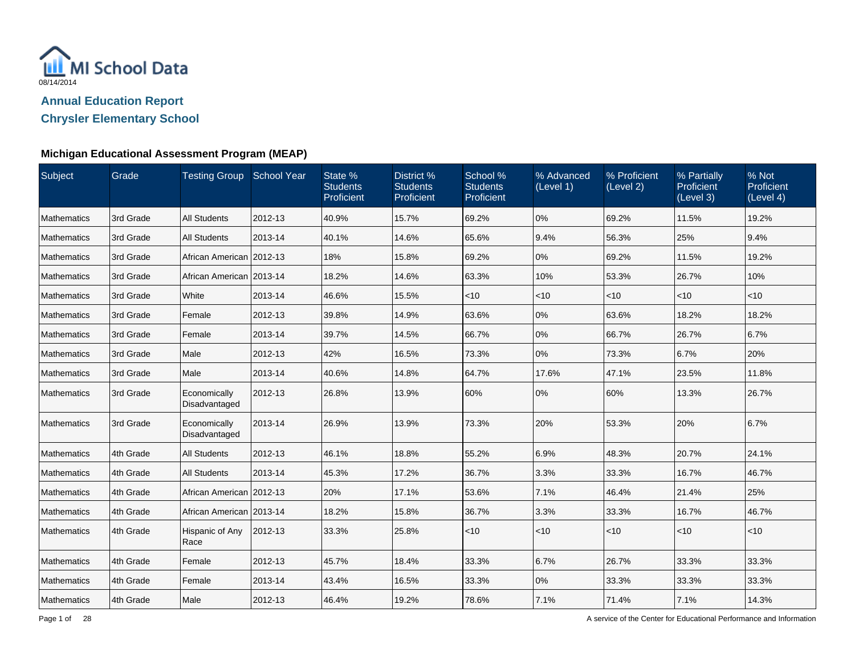

#### **Michigan Educational Assessment Program (MEAP)**

| Subject            | Grade     | <b>Testing Group School Year</b> |         | State %<br><b>Students</b><br>Proficient | District %<br><b>Students</b><br>Proficient | School %<br><b>Students</b><br>Proficient | % Advanced<br>(Level 1) | % Proficient<br>(Level 2) | % Partially<br>Proficient<br>(Level 3) | % Not<br>Proficient<br>(Level 4) |
|--------------------|-----------|----------------------------------|---------|------------------------------------------|---------------------------------------------|-------------------------------------------|-------------------------|---------------------------|----------------------------------------|----------------------------------|
| <b>Mathematics</b> | 3rd Grade | <b>All Students</b>              | 2012-13 | 40.9%                                    | 15.7%                                       | 69.2%                                     | 0%                      | 69.2%                     | 11.5%                                  | 19.2%                            |
| <b>Mathematics</b> | 3rd Grade | <b>All Students</b>              | 2013-14 | 40.1%                                    | 14.6%                                       | 65.6%                                     | 9.4%                    | 56.3%                     | 25%                                    | $ 9.4\%$                         |
| Mathematics        | 3rd Grade | African American   2012-13       |         | 18%                                      | 15.8%                                       | 69.2%                                     | 0%                      | 69.2%                     | 11.5%                                  | 19.2%                            |
| <b>Mathematics</b> | 3rd Grade | African American 2013-14         |         | 18.2%                                    | 14.6%                                       | 63.3%                                     | 10%                     | 53.3%                     | 26.7%                                  | 10%                              |
| Mathematics        | 3rd Grade | White                            | 2013-14 | 46.6%                                    | 15.5%                                       | $<$ 10                                    | < 10                    | $<$ 10                    | $<$ 10                                 | < 10                             |
| <b>Mathematics</b> | 3rd Grade | Female                           | 2012-13 | 39.8%                                    | 14.9%                                       | 63.6%                                     | 0%                      | 63.6%                     | 18.2%                                  | 18.2%                            |
| Mathematics        | 3rd Grade | Female                           | 2013-14 | 39.7%                                    | 14.5%                                       | 66.7%                                     | 0%                      | 66.7%                     | 26.7%                                  | 6.7%                             |
| Mathematics        | 3rd Grade | Male                             | 2012-13 | 42%                                      | 16.5%                                       | 73.3%                                     | 0%                      | 73.3%                     | 6.7%                                   | 20%                              |
| <b>Mathematics</b> | 3rd Grade | Male                             | 2013-14 | 40.6%                                    | 14.8%                                       | 64.7%                                     | 17.6%                   | 47.1%                     | 23.5%                                  | 11.8%                            |
| <b>Mathematics</b> | 3rd Grade | Economically<br>Disadvantaged    | 2012-13 | 26.8%                                    | 13.9%                                       | 60%                                       | 0%                      | 60%                       | 13.3%                                  | 26.7%                            |
| <b>Mathematics</b> | 3rd Grade | Economically<br>Disadvantaged    | 2013-14 | 26.9%                                    | 13.9%                                       | 73.3%                                     | 20%                     | 53.3%                     | 20%                                    | 6.7%                             |
| Mathematics        | 4th Grade | <b>All Students</b>              | 2012-13 | 46.1%                                    | 18.8%                                       | 55.2%                                     | 6.9%                    | 48.3%                     | 20.7%                                  | 24.1%                            |
| Mathematics        | 4th Grade | <b>All Students</b>              | 2013-14 | 45.3%                                    | 17.2%                                       | 36.7%                                     | 3.3%                    | 33.3%                     | 16.7%                                  | 46.7%                            |
| <b>Mathematics</b> | 4th Grade | African American   2012-13       |         | 20%                                      | 17.1%                                       | 53.6%                                     | 7.1%                    | 46.4%                     | 21.4%                                  | 25%                              |
| <b>Mathematics</b> | 4th Grade | African American 2013-14         |         | 18.2%                                    | 15.8%                                       | 36.7%                                     | 3.3%                    | 33.3%                     | 16.7%                                  | 46.7%                            |
| <b>Mathematics</b> | 4th Grade | Hispanic of Any<br>Race          | 2012-13 | 33.3%                                    | 25.8%                                       | $<$ 10                                    | < 10                    | $<$ 10                    | < 10                                   | $<$ 10                           |
| Mathematics        | 4th Grade | Female                           | 2012-13 | 45.7%                                    | 18.4%                                       | 33.3%                                     | 6.7%                    | 26.7%                     | 33.3%                                  | 33.3%                            |
| <b>Mathematics</b> | 4th Grade | Female                           | 2013-14 | 43.4%                                    | 16.5%                                       | 33.3%                                     | 0%                      | 33.3%                     | 33.3%                                  | 33.3%                            |
| Mathematics        | 4th Grade | Male                             | 2012-13 | 46.4%                                    | 19.2%                                       | 78.6%                                     | 7.1%                    | 71.4%                     | 7.1%                                   | 14.3%                            |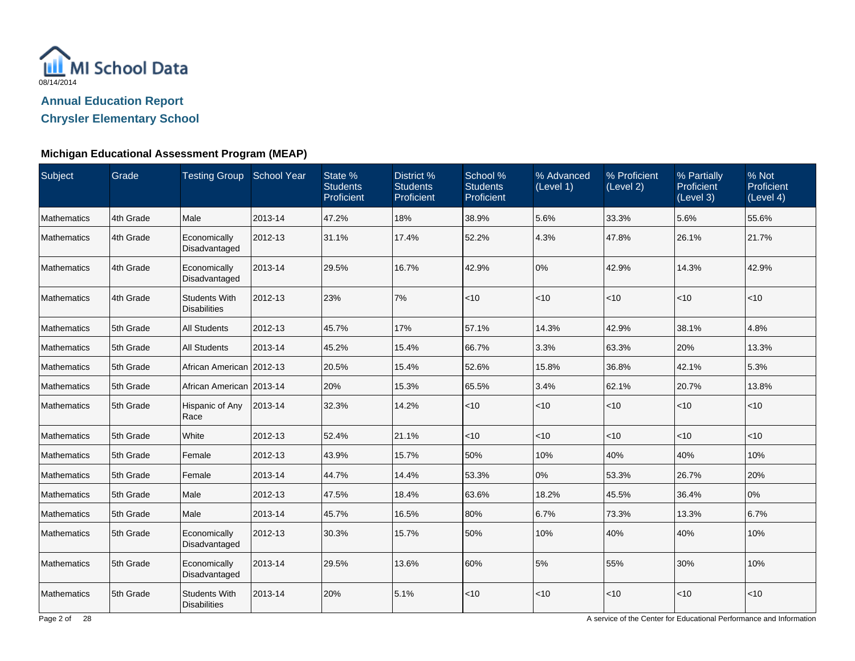

**Chrysler Elementary School**

#### **Michigan Educational Assessment Program (MEAP)**

| Subject            | Grade     | Testing Group School Year                   |         | State %<br><b>Students</b><br>Proficient | <b>District %</b><br><b>Students</b><br>Proficient | School %<br><b>Students</b><br>Proficient | % Advanced<br>(Level 1) | % Proficient<br>(Level 2) | % Partially<br>Proficient<br>(Level 3) | % Not<br>Proficient<br>(Level 4) |
|--------------------|-----------|---------------------------------------------|---------|------------------------------------------|----------------------------------------------------|-------------------------------------------|-------------------------|---------------------------|----------------------------------------|----------------------------------|
| Mathematics        | 4th Grade | Male                                        | 2013-14 | 47.2%                                    | 18%                                                | 38.9%                                     | 5.6%                    | 33.3%                     | 5.6%                                   | 55.6%                            |
| <b>Mathematics</b> | 4th Grade | Economically<br>Disadvantaged               | 2012-13 | 31.1%                                    | 17.4%                                              | 52.2%                                     | 4.3%                    | 47.8%                     | 26.1%                                  | 21.7%                            |
| Mathematics        | 4th Grade | Economically<br>Disadvantaged               | 2013-14 | 29.5%                                    | 16.7%                                              | 42.9%                                     | 0%                      | 42.9%                     | 14.3%                                  | 42.9%                            |
| <b>Mathematics</b> | 4th Grade | <b>Students With</b><br><b>Disabilities</b> | 2012-13 | 23%                                      | 7%                                                 | < 10                                      | < 10                    | $<$ 10                    | < 10                                   | < 10                             |
| <b>Mathematics</b> | 5th Grade | <b>All Students</b>                         | 2012-13 | 45.7%                                    | 17%                                                | 57.1%                                     | 14.3%                   | 42.9%                     | 38.1%                                  | 4.8%                             |
| <b>Mathematics</b> | 5th Grade | <b>All Students</b>                         | 2013-14 | 45.2%                                    | 15.4%                                              | 66.7%                                     | 3.3%                    | 63.3%                     | 20%                                    | 13.3%                            |
| Mathematics        | 5th Grade | African American 2012-13                    |         | 20.5%                                    | 15.4%                                              | 52.6%                                     | 15.8%                   | 36.8%                     | 42.1%                                  | 5.3%                             |
| Mathematics        | 5th Grade | African American   2013-14                  |         | 20%                                      | 15.3%                                              | 65.5%                                     | 3.4%                    | 62.1%                     | 20.7%                                  | 13.8%                            |
| <b>Mathematics</b> | 5th Grade | Hispanic of Any<br>Race                     | 2013-14 | 32.3%                                    | 14.2%                                              | $<$ 10                                    | < 10                    | $<$ 10                    | $<$ 10                                 | $<$ 10                           |
| Mathematics        | 5th Grade | White                                       | 2012-13 | 52.4%                                    | 21.1%                                              | $<$ 10                                    | <10                     | $<$ 10                    | $<$ 10                                 | $<$ 10                           |
| Mathematics        | 5th Grade | Female                                      | 2012-13 | 43.9%                                    | 15.7%                                              | 50%                                       | 10%                     | 40%                       | 40%                                    | 10%                              |
| Mathematics        | 5th Grade | Female                                      | 2013-14 | 44.7%                                    | 14.4%                                              | 53.3%                                     | 0%                      | 53.3%                     | 26.7%                                  | 20%                              |
| <b>Mathematics</b> | 5th Grade | Male                                        | 2012-13 | 47.5%                                    | 18.4%                                              | 63.6%                                     | 18.2%                   | 45.5%                     | 36.4%                                  | 0%                               |
| <b>Mathematics</b> | 5th Grade | Male                                        | 2013-14 | 45.7%                                    | 16.5%                                              | 80%                                       | 6.7%                    | 73.3%                     | 13.3%                                  | 6.7%                             |
| Mathematics        | 5th Grade | Economically<br>Disadvantaged               | 2012-13 | 30.3%                                    | 15.7%                                              | 50%                                       | 10%                     | 40%                       | 40%                                    | 10%                              |
| <b>Mathematics</b> | 5th Grade | Economically<br>Disadvantaged               | 2013-14 | 29.5%                                    | 13.6%                                              | 60%                                       | 5%                      | 55%                       | 30%                                    | 10%                              |
| Mathematics        | 5th Grade | <b>Students With</b><br><b>Disabilities</b> | 2013-14 | 20%                                      | 5.1%                                               | < 10                                      | < 10                    | $<$ 10                    | <10                                    | < 10                             |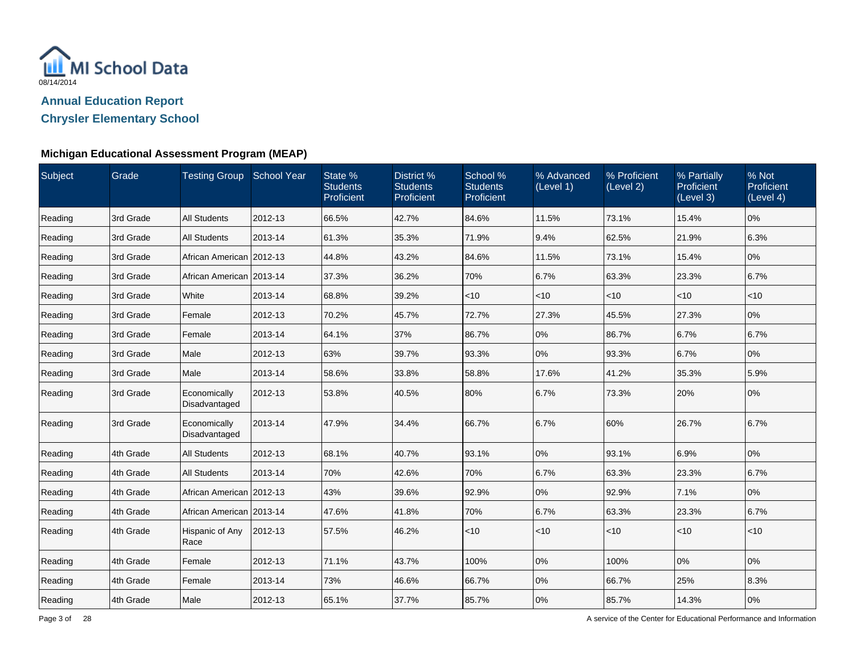

#### **Michigan Educational Assessment Program (MEAP)**

| Subject | Grade     | <b>Testing Group School Year</b> |         | State %<br><b>Students</b><br>Proficient | <b>District %</b><br><b>Students</b><br>Proficient | School %<br><b>Students</b><br>Proficient | % Advanced<br>(Level 1) | % Proficient<br>(Level 2) | % Partially<br>Proficient<br>(Level 3) | % Not<br>Proficient<br>(Level 4) |
|---------|-----------|----------------------------------|---------|------------------------------------------|----------------------------------------------------|-------------------------------------------|-------------------------|---------------------------|----------------------------------------|----------------------------------|
| Reading | 3rd Grade | <b>All Students</b>              | 2012-13 | 66.5%                                    | 42.7%                                              | 84.6%                                     | 11.5%                   | 73.1%                     | 15.4%                                  | $10\%$                           |
| Reading | 3rd Grade | <b>All Students</b>              | 2013-14 | 61.3%                                    | 35.3%                                              | 71.9%                                     | 9.4%                    | 62.5%                     | 21.9%                                  | 6.3%                             |
| Reading | 3rd Grade | African American   2012-13       |         | 44.8%                                    | 43.2%                                              | 84.6%                                     | 11.5%                   | 73.1%                     | 15.4%                                  | $ 0\%$                           |
| Reading | 3rd Grade | African American 2013-14         |         | 37.3%                                    | 36.2%                                              | 70%                                       | 6.7%                    | 63.3%                     | 23.3%                                  | 6.7%                             |
| Reading | 3rd Grade | White                            | 2013-14 | 68.8%                                    | 39.2%                                              | <10                                       | $<$ 10                  | $<$ 10                    | $<$ 10                                 | $ $ < 10                         |
| Reading | 3rd Grade | Female                           | 2012-13 | 70.2%                                    | 45.7%                                              | 72.7%                                     | 27.3%                   | 45.5%                     | 27.3%                                  | $ 0\%$                           |
| Reading | 3rd Grade | Female                           | 2013-14 | 64.1%                                    | 37%                                                | 86.7%                                     | 0%                      | 86.7%                     | 6.7%                                   | 6.7%                             |
| Reading | 3rd Grade | Male                             | 2012-13 | 63%                                      | 39.7%                                              | 93.3%                                     | 0%                      | 93.3%                     | 6.7%                                   | 10%                              |
| Reading | 3rd Grade | Male                             | 2013-14 | 58.6%                                    | 33.8%                                              | 58.8%                                     | 17.6%                   | 41.2%                     | 35.3%                                  | 5.9%                             |
| Reading | 3rd Grade | Economically<br>Disadvantaged    | 2012-13 | 53.8%                                    | 40.5%                                              | 80%                                       | 6.7%                    | 73.3%                     | 20%                                    | $ 0\%$                           |
| Reading | 3rd Grade | Economically<br>Disadvantaged    | 2013-14 | 47.9%                                    | 34.4%                                              | 66.7%                                     | 6.7%                    | 60%                       | 26.7%                                  | 6.7%                             |
| Reading | 4th Grade | <b>All Students</b>              | 2012-13 | 68.1%                                    | 40.7%                                              | 93.1%                                     | 0%                      | 93.1%                     | 6.9%                                   | $ 0\%$                           |
| Reading | 4th Grade | <b>All Students</b>              | 2013-14 | 70%                                      | 42.6%                                              | 70%                                       | 6.7%                    | 63.3%                     | 23.3%                                  | 6.7%                             |
| Reading | 4th Grade | African American   2012-13       |         | 43%                                      | 39.6%                                              | 92.9%                                     | 0%                      | 92.9%                     | 7.1%                                   | 0%                               |
| Reading | 4th Grade | African American   2013-14       |         | 47.6%                                    | 41.8%                                              | 70%                                       | 6.7%                    | 63.3%                     | 23.3%                                  | 6.7%                             |
| Reading | 4th Grade | Hispanic of Any<br>Race          | 2012-13 | 57.5%                                    | 46.2%                                              | $<$ 10                                    | < 10                    | $<$ 10                    | $ $ < 10                               | $ $ < 10                         |
| Reading | 4th Grade | Female                           | 2012-13 | 71.1%                                    | 43.7%                                              | 100%                                      | 0%                      | 100%                      | 0%                                     | $ 0\%$                           |
| Reading | 4th Grade | Female                           | 2013-14 | 73%                                      | 46.6%                                              | 66.7%                                     | 0%                      | 66.7%                     | 25%                                    | 8.3%                             |
| Reading | 4th Grade | Male                             | 2012-13 | 65.1%                                    | 37.7%                                              | 85.7%                                     | 0%                      | 85.7%                     | 14.3%                                  | $ 0\%$                           |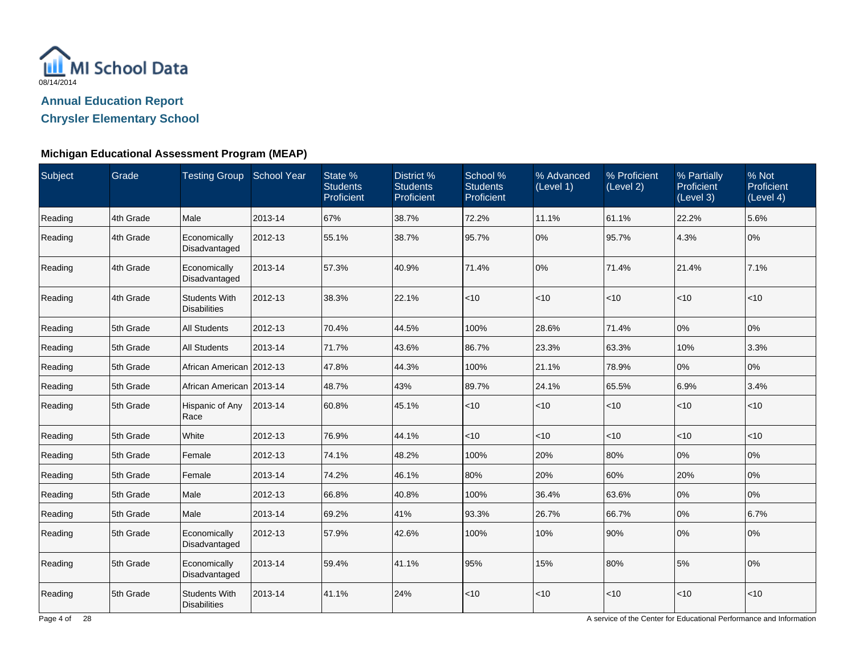

**Chrysler Elementary School**

#### **Michigan Educational Assessment Program (MEAP)**

| Subject | Grade     | Testing Group School Year                   |         | State %<br><b>Students</b><br>Proficient | <b>District %</b><br><b>Students</b><br>Proficient | School %<br><b>Students</b><br>Proficient | % Advanced<br>(Level 1) | % Proficient<br>(Level 2) | % Partially<br>Proficient<br>(Level 3) | % Not<br>Proficient<br>(Level 4) |
|---------|-----------|---------------------------------------------|---------|------------------------------------------|----------------------------------------------------|-------------------------------------------|-------------------------|---------------------------|----------------------------------------|----------------------------------|
| Reading | 4th Grade | Male                                        | 2013-14 | 67%                                      | 38.7%                                              | 72.2%                                     | 11.1%                   | 61.1%                     | 22.2%                                  | 5.6%                             |
| Reading | 4th Grade | Economically<br>Disadvantaged               | 2012-13 | 55.1%                                    | 38.7%                                              | 95.7%                                     | 0%                      | 95.7%                     | 4.3%                                   | 0%                               |
| Reading | 4th Grade | Economically<br>Disadvantaged               | 2013-14 | 57.3%                                    | 40.9%                                              | 71.4%                                     | 0%                      | 71.4%                     | 21.4%                                  | 7.1%                             |
| Reading | 4th Grade | <b>Students With</b><br><b>Disabilities</b> | 2012-13 | 38.3%                                    | 22.1%                                              | < 10                                      | < 10                    | $<$ 10                    | < 10                                   | < 10                             |
| Reading | 5th Grade | <b>All Students</b>                         | 2012-13 | 70.4%                                    | 44.5%                                              | 100%                                      | 28.6%                   | 71.4%                     | 0%                                     | 0%                               |
| Reading | 5th Grade | <b>All Students</b>                         | 2013-14 | 71.7%                                    | 43.6%                                              | 86.7%                                     | 23.3%                   | 63.3%                     | 10%                                    | 3.3%                             |
| Reading | 5th Grade | African American 2012-13                    |         | 47.8%                                    | 44.3%                                              | 100%                                      | 21.1%                   | 78.9%                     | 0%                                     | 0%                               |
| Reading | 5th Grade | African American 2013-14                    |         | 48.7%                                    | 43%                                                | 89.7%                                     | 24.1%                   | 65.5%                     | 6.9%                                   | 3.4%                             |
| Reading | 5th Grade | Hispanic of Any<br>Race                     | 2013-14 | 60.8%                                    | 45.1%                                              | $<$ 10                                    | $<$ 10                  | $<$ 10                    | $<$ 10                                 | $<$ 10                           |
| Reading | 5th Grade | White                                       | 2012-13 | 76.9%                                    | 44.1%                                              | $<$ 10                                    | $<$ 10                  | <10                       | $<$ 10                                 | <10                              |
| Reading | 5th Grade | Female                                      | 2012-13 | 74.1%                                    | 48.2%                                              | 100%                                      | 20%                     | 80%                       | 0%                                     | 10%                              |
| Reading | 5th Grade | Female                                      | 2013-14 | 74.2%                                    | 46.1%                                              | 80%                                       | 20%                     | 60%                       | 20%                                    | 0%                               |
| Reading | 5th Grade | Male                                        | 2012-13 | 66.8%                                    | 40.8%                                              | 100%                                      | 36.4%                   | 63.6%                     | 0%                                     | 0%                               |
| Reading | 5th Grade | Male                                        | 2013-14 | 69.2%                                    | 41%                                                | 93.3%                                     | 26.7%                   | 66.7%                     | 0%                                     | 6.7%                             |
| Reading | 5th Grade | Economically<br>Disadvantaged               | 2012-13 | 57.9%                                    | 42.6%                                              | 100%                                      | 10%                     | 90%                       | 0%                                     | 0%                               |
| Reading | 5th Grade | Economically<br>Disadvantaged               | 2013-14 | 59.4%                                    | 41.1%                                              | 95%                                       | 15%                     | 80%                       | 5%                                     | 0%                               |
| Reading | 5th Grade | <b>Students With</b><br><b>Disabilities</b> | 2013-14 | 41.1%                                    | 24%                                                | < 10                                      | < 10                    | <10                       | < 10                                   | < 10                             |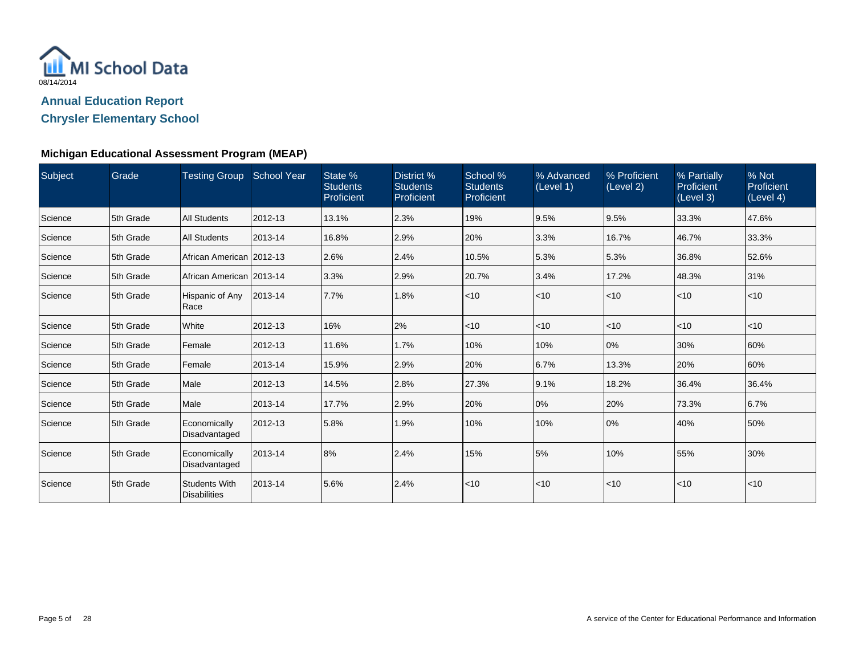

**Chrysler Elementary School**

#### **Michigan Educational Assessment Program (MEAP)**

| Subject | Grade     | Testing Group School Year                   |         | State %<br><b>Students</b><br>Proficient | District %<br><b>Students</b><br>Proficient | School %<br><b>Students</b><br>Proficient | % Advanced<br>(Level 1) | % Proficient<br>(Level 2) | % Partially<br>Proficient<br>(Level 3) | % Not<br>Proficient<br>(Level 4) |
|---------|-----------|---------------------------------------------|---------|------------------------------------------|---------------------------------------------|-------------------------------------------|-------------------------|---------------------------|----------------------------------------|----------------------------------|
| Science | 5th Grade | <b>All Students</b>                         | 2012-13 | 13.1%                                    | 2.3%                                        | 19%                                       | 9.5%                    | 9.5%                      | 33.3%                                  | 47.6%                            |
| Science | 5th Grade | <b>All Students</b>                         | 2013-14 | 16.8%                                    | 2.9%                                        | 20%                                       | 3.3%                    | 16.7%                     | 46.7%                                  | 33.3%                            |
| Science | 5th Grade | African American 2012-13                    |         | 2.6%                                     | 2.4%                                        | 10.5%                                     | 5.3%                    | 5.3%                      | 36.8%                                  | 52.6%                            |
| Science | 5th Grade | African American 2013-14                    |         | 3.3%                                     | 2.9%                                        | 20.7%                                     | 3.4%                    | 17.2%                     | 48.3%                                  | 31%                              |
| Science | 5th Grade | Hispanic of Any<br>Race                     | 2013-14 | 7.7%                                     | 1.8%                                        | < 10                                      | < 10                    | < 10                      | $ $ < 10                               | < 10                             |
| Science | 5th Grade | White                                       | 2012-13 | 16%                                      | 2%                                          | $<$ 10                                    | $<$ 10                  | $<$ 10                    | $ $ < 10                               | $<$ 10                           |
| Science | 5th Grade | Female                                      | 2012-13 | 11.6%                                    | 1.7%                                        | 10%                                       | 10%                     | $ 0\%$                    | 30%                                    | 60%                              |
| Science | 5th Grade | Female                                      | 2013-14 | 15.9%                                    | 2.9%                                        | 20%                                       | 6.7%                    | 13.3%                     | 20%                                    | 60%                              |
| Science | 5th Grade | Male                                        | 2012-13 | 14.5%                                    | 2.8%                                        | 27.3%                                     | 9.1%                    | 18.2%                     | 36.4%                                  | 36.4%                            |
| Science | 5th Grade | Male                                        | 2013-14 | 17.7%                                    | 2.9%                                        | 20%                                       | $0\%$                   | 20%                       | 73.3%                                  | 6.7%                             |
| Science | 5th Grade | Economically<br>Disadvantaged               | 2012-13 | 5.8%                                     | 1.9%                                        | 10%                                       | 10%                     | 10%                       | 40%                                    | 50%                              |
| Science | 5th Grade | Economically<br>Disadvantaged               | 2013-14 | 8%                                       | 2.4%                                        | 15%                                       | 5%                      | 10%                       | 55%                                    | 30%                              |
| Science | 5th Grade | <b>Students With</b><br><b>Disabilities</b> | 2013-14 | 5.6%                                     | 2.4%                                        | < 10                                      | < 10                    | $ $ < 10                  | < 10                                   | < 10                             |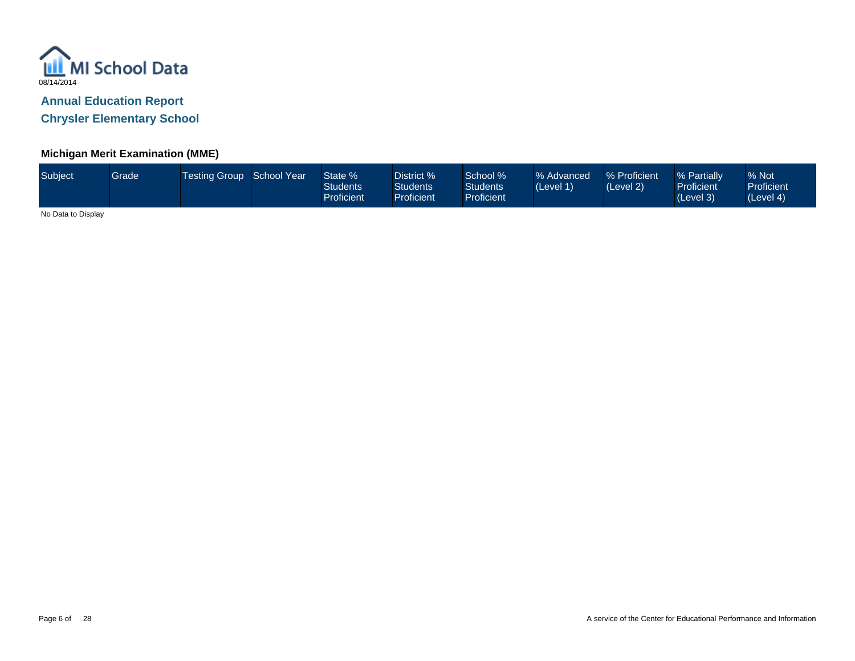

**Chrysler Elementary School**

#### **Michigan Merit Examination (MME)**

| Subject | Grade | Testing Group School Year |  | State %<br>Students<br>Proficient | District % <sup>1</sup><br><b>Students</b><br><b>Proficient</b> | School %<br><b>Students</b><br><b>Proficient</b> | % Advanced<br>(Level 1) | % Proficient<br>(Level 2) | % Partially<br><b>Proficient</b><br>(Level 3) | % Not<br><b>Proficient</b><br>(Level 4) |
|---------|-------|---------------------------|--|-----------------------------------|-----------------------------------------------------------------|--------------------------------------------------|-------------------------|---------------------------|-----------------------------------------------|-----------------------------------------|
|---------|-------|---------------------------|--|-----------------------------------|-----------------------------------------------------------------|--------------------------------------------------|-------------------------|---------------------------|-----------------------------------------------|-----------------------------------------|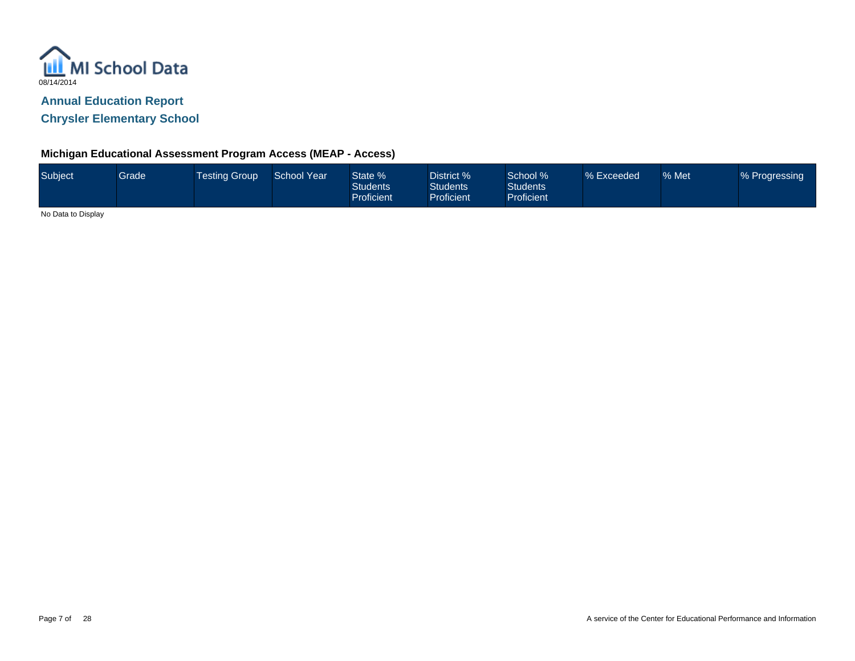

#### **Michigan Educational Assessment Program Access (MEAP - Access)**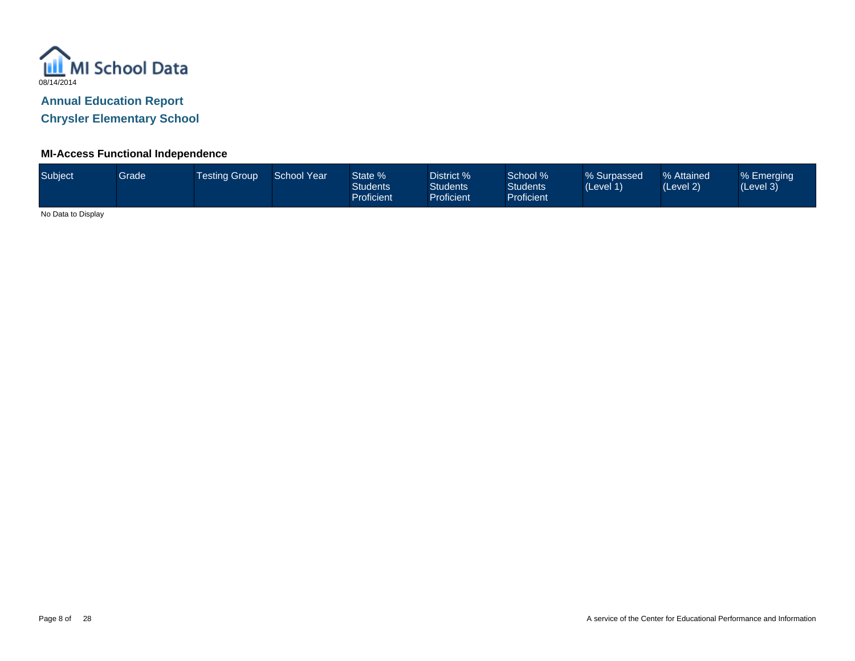

**Chrysler Elementary School**

#### **MI-Access Functional Independence**

| Subject | <b>Grade</b> | <b>Testing Group</b> | <b>School Year</b> | State %<br><b>Students</b><br><b>Proficient</b> | District %<br><b>Students</b><br><b>Proficient</b> | School %<br><b>Students</b><br><b>Proficient</b> | % Surpassed<br>(Level 1) | % Attained<br>(Level 2) | % Emerging<br>(Level 3) |
|---------|--------------|----------------------|--------------------|-------------------------------------------------|----------------------------------------------------|--------------------------------------------------|--------------------------|-------------------------|-------------------------|
| .       |              |                      |                    |                                                 |                                                    |                                                  |                          |                         |                         |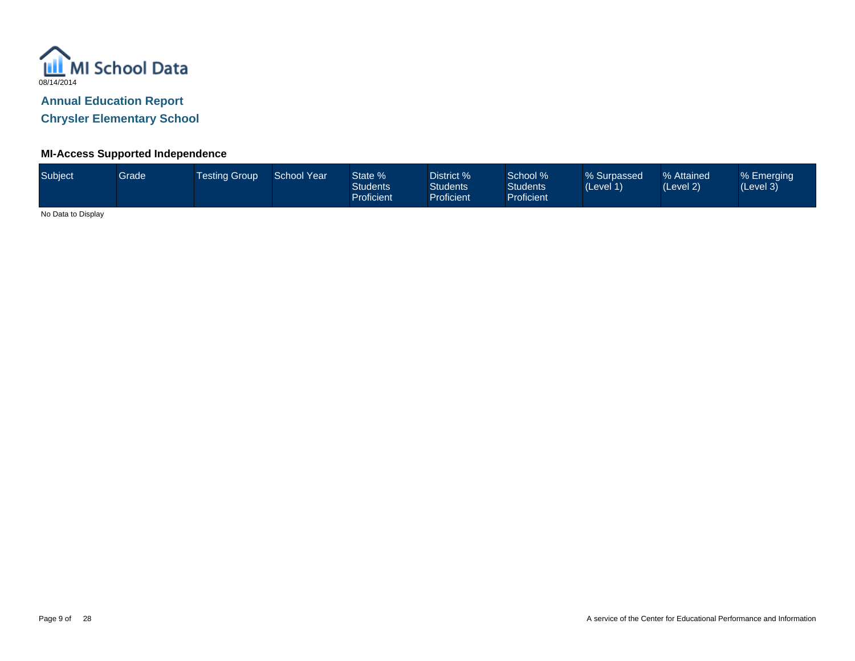

**Chrysler Elementary School**

#### **MI-Access Supported Independence**

| Subject           | Grade | <b>Testing Group</b> | <b>School Year</b> | State %<br><b>Students</b><br><b>Proficient</b> | District %<br><b>Students</b><br><b>Proficient</b> | School %<br><b>Students</b><br><b>Proficient</b> | % Surpassed<br>(Level 1) | % Attained<br>(Level 2) | % Emerging<br>(Level 3) |
|-------------------|-------|----------------------|--------------------|-------------------------------------------------|----------------------------------------------------|--------------------------------------------------|--------------------------|-------------------------|-------------------------|
| $\cdots$ $\cdots$ |       |                      |                    |                                                 |                                                    |                                                  |                          |                         |                         |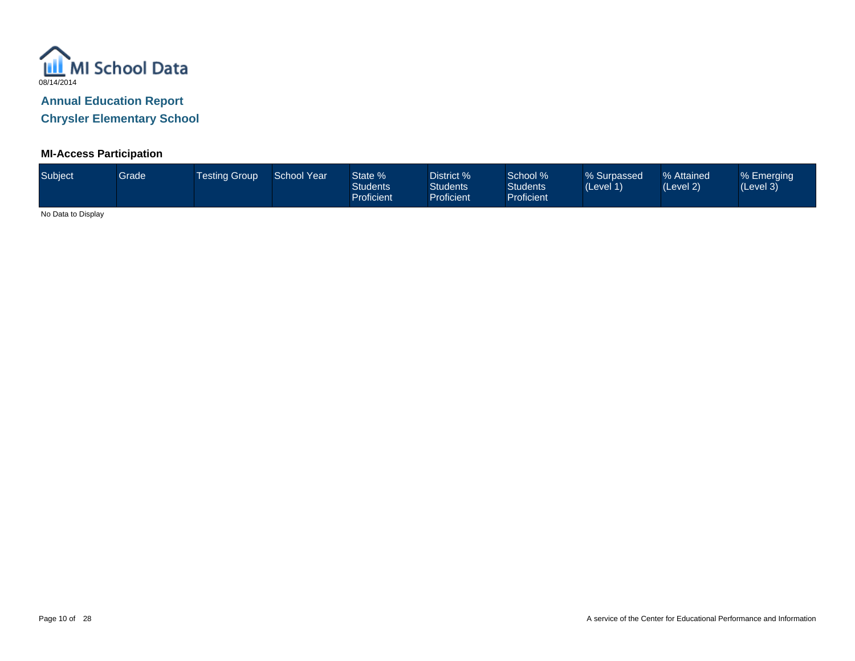

**Chrysler Elementary School**

### **MI-Access Participation**

| Subject           | Grade | <b>Testing Group</b> | School Year | State %<br><b>Students</b><br><b>Proficient</b> | District %<br><b>Students</b><br>Proficient | School %<br><b>Students</b><br><b>Proficient</b> | % Surpassed<br>(Level 1) | % Attained<br>(Level 2) | % Emerging<br>(Level 3) |
|-------------------|-------|----------------------|-------------|-------------------------------------------------|---------------------------------------------|--------------------------------------------------|--------------------------|-------------------------|-------------------------|
| $\cdots$ $\cdots$ |       |                      |             |                                                 |                                             |                                                  |                          |                         |                         |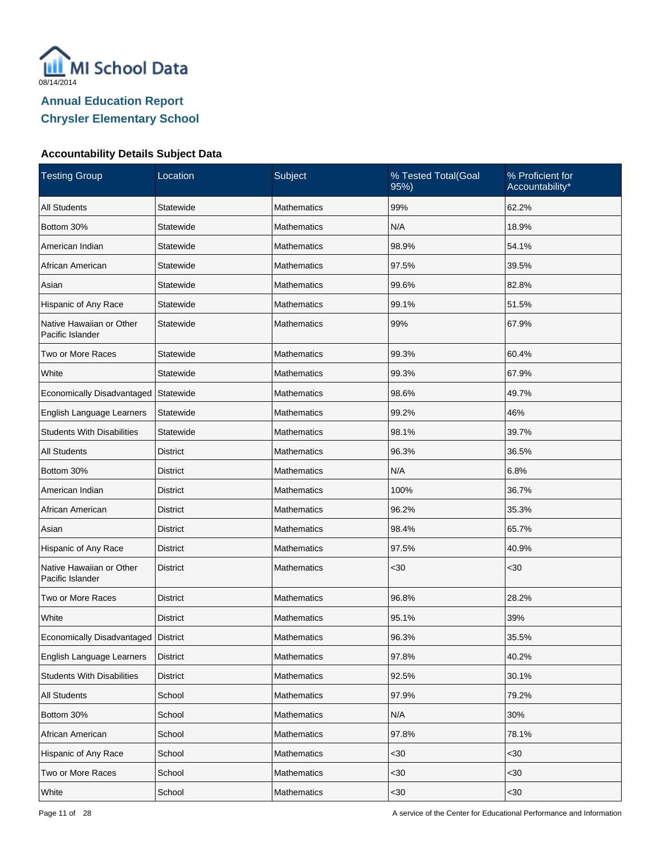

| <b>Testing Group</b>                         | Location        | Subject            | % Tested Total(Goal<br>95%) | % Proficient for<br>Accountability* |
|----------------------------------------------|-----------------|--------------------|-----------------------------|-------------------------------------|
| <b>All Students</b>                          | Statewide       | <b>Mathematics</b> | 99%                         | 62.2%                               |
| Bottom 30%                                   | Statewide       | <b>Mathematics</b> | N/A                         | 18.9%                               |
| American Indian                              | Statewide       | <b>Mathematics</b> | 98.9%                       | 54.1%                               |
| African American                             | Statewide       | Mathematics        | 97.5%                       | 39.5%                               |
| Asian                                        | Statewide       | Mathematics        | 99.6%                       | 82.8%                               |
| Hispanic of Any Race                         | Statewide       | Mathematics        | 99.1%                       | 51.5%                               |
| Native Hawaiian or Other<br>Pacific Islander | Statewide       | Mathematics        | 99%                         | 67.9%                               |
| Two or More Races                            | Statewide       | <b>Mathematics</b> | 99.3%                       | 60.4%                               |
| White                                        | Statewide       | <b>Mathematics</b> | 99.3%                       | 67.9%                               |
| Economically Disadvantaged                   | Statewide       | <b>Mathematics</b> | 98.6%                       | 49.7%                               |
| English Language Learners                    | Statewide       | <b>Mathematics</b> | 99.2%                       | 46%                                 |
| <b>Students With Disabilities</b>            | Statewide       | <b>Mathematics</b> | 98.1%                       | 39.7%                               |
| <b>All Students</b>                          | <b>District</b> | <b>Mathematics</b> | 96.3%                       | 36.5%                               |
| Bottom 30%                                   | <b>District</b> | <b>Mathematics</b> | N/A                         | 6.8%                                |
| American Indian                              | <b>District</b> | <b>Mathematics</b> | 100%                        | 36.7%                               |
| African American                             | <b>District</b> | <b>Mathematics</b> | 96.2%                       | 35.3%                               |
| Asian                                        | <b>District</b> | <b>Mathematics</b> | 98.4%                       | 65.7%                               |
| Hispanic of Any Race                         | <b>District</b> | <b>Mathematics</b> | 97.5%                       | 40.9%                               |
| Native Hawaiian or Other<br>Pacific Islander | <b>District</b> | <b>Mathematics</b> | $30$                        | $30$                                |
| Two or More Races                            | <b>District</b> | <b>Mathematics</b> | 96.8%                       | 28.2%                               |
| White                                        | <b>District</b> | Mathematics        | 95.1%                       | 39%                                 |
| Economically Disadvantaged                   | District        | <b>Mathematics</b> | 96.3%                       | 35.5%                               |
| English Language Learners                    | <b>District</b> | Mathematics        | 97.8%                       | 40.2%                               |
| <b>Students With Disabilities</b>            | <b>District</b> | Mathematics        | 92.5%                       | 30.1%                               |
| <b>All Students</b>                          | School          | Mathematics        | 97.9%                       | 79.2%                               |
| Bottom 30%                                   | School          | Mathematics        | N/A                         | 30%                                 |
| African American                             | School          | Mathematics        | 97.8%                       | 78.1%                               |
| Hispanic of Any Race                         | School          | Mathematics        | $30$                        | <30                                 |
| Two or More Races                            | School          | Mathematics        | $30$                        | <30                                 |
| White                                        | School          | Mathematics        | $30$                        | <30                                 |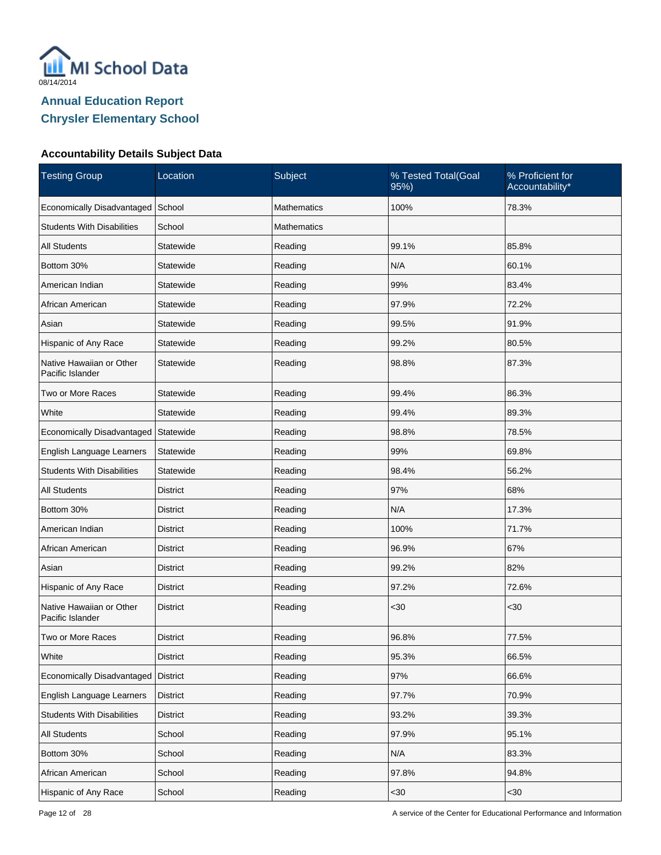

| <b>Testing Group</b>                         | Location        | Subject            | % Tested Total(Goal<br>95%) | % Proficient for<br>Accountability* |
|----------------------------------------------|-----------------|--------------------|-----------------------------|-------------------------------------|
| Economically Disadvantaged                   | School          | <b>Mathematics</b> | 100%                        | 78.3%                               |
| <b>Students With Disabilities</b>            | School          | <b>Mathematics</b> |                             |                                     |
| <b>All Students</b>                          | Statewide       | Reading            | 99.1%                       | 85.8%                               |
| Bottom 30%                                   | Statewide       | Reading            | N/A                         | 60.1%                               |
| American Indian                              | Statewide       | Reading            | 99%                         | 83.4%                               |
| African American                             | Statewide       | Reading            | 97.9%                       | 72.2%                               |
| Asian                                        | Statewide       | Reading            | 99.5%                       | 91.9%                               |
| Hispanic of Any Race                         | Statewide       | Reading            | 99.2%                       | 80.5%                               |
| Native Hawaiian or Other<br>Pacific Islander | Statewide       | Reading            | 98.8%                       | 87.3%                               |
| Two or More Races                            | Statewide       | Reading            | 99.4%                       | 86.3%                               |
| White                                        | Statewide       | Reading            | 99.4%                       | 89.3%                               |
| Economically Disadvantaged                   | Statewide       | Reading            | 98.8%                       | 78.5%                               |
| English Language Learners                    | Statewide       | Reading            | 99%                         | 69.8%                               |
| <b>Students With Disabilities</b>            | Statewide       | Reading            | 98.4%                       | 56.2%                               |
| <b>All Students</b>                          | <b>District</b> | Reading            | 97%                         | 68%                                 |
| Bottom 30%                                   | <b>District</b> | Reading            | N/A                         | 17.3%                               |
| American Indian                              | <b>District</b> | Reading            | 100%                        | 71.7%                               |
| African American                             | <b>District</b> | Reading            | 96.9%                       | 67%                                 |
| Asian                                        | <b>District</b> | Reading            | 99.2%                       | 82%                                 |
| Hispanic of Any Race                         | <b>District</b> | Reading            | 97.2%                       | 72.6%                               |
| Native Hawaiian or Other<br>Pacific Islander | <b>District</b> | Reading            | $30$                        | $30$                                |
| Two or More Races                            | <b>District</b> | Reading            | 96.8%                       | 77.5%                               |
| White                                        | <b>District</b> | Reading            | 95.3%                       | 66.5%                               |
| Economically Disadvantaged                   | District        | Reading            | 97%                         | 66.6%                               |
| English Language Learners                    | <b>District</b> | Reading            | 97.7%                       | 70.9%                               |
| <b>Students With Disabilities</b>            | <b>District</b> | Reading            | 93.2%                       | 39.3%                               |
| <b>All Students</b>                          | School          | Reading            | 97.9%                       | 95.1%                               |
| Bottom 30%                                   | School          | Reading            | N/A                         | 83.3%                               |
| African American                             | School          | Reading            | 97.8%                       | 94.8%                               |
| Hispanic of Any Race                         | School          | Reading            | <30                         | <30                                 |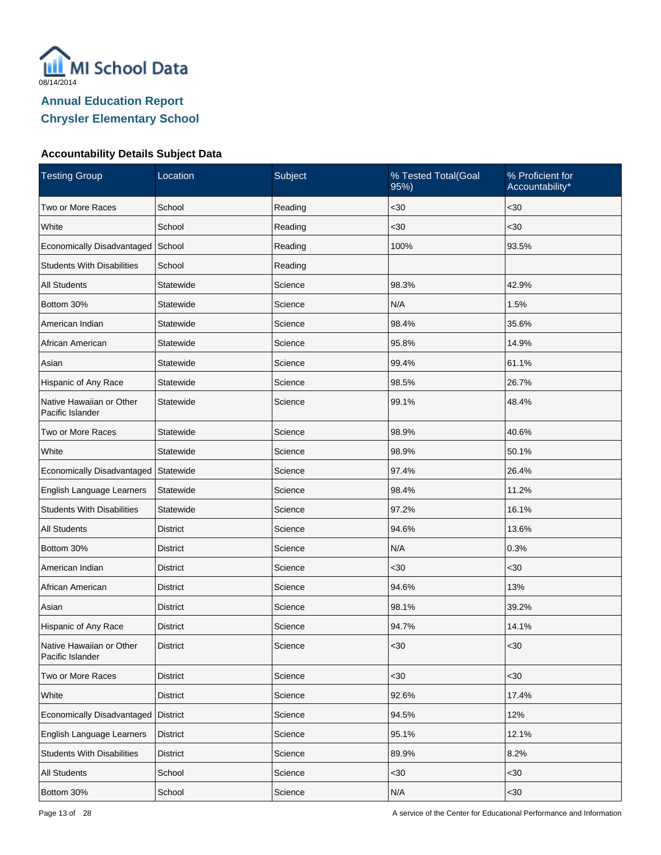

| <b>Testing Group</b>                         | Location        | Subject | % Tested Total(Goal<br>95%) | % Proficient for<br>Accountability* |
|----------------------------------------------|-----------------|---------|-----------------------------|-------------------------------------|
| Two or More Races                            | School          | Reading | <30                         | $30$                                |
| White                                        | School          | Reading | $30$                        | <30                                 |
| Economically Disadvantaged                   | School          | Reading | 100%                        | 93.5%                               |
| <b>Students With Disabilities</b>            | School          | Reading |                             |                                     |
| <b>All Students</b>                          | Statewide       | Science | 98.3%                       | 42.9%                               |
| Bottom 30%                                   | Statewide       | Science | N/A                         | 1.5%                                |
| American Indian                              | Statewide       | Science | 98.4%                       | 35.6%                               |
| African American                             | Statewide       | Science | 95.8%                       | 14.9%                               |
| Asian                                        | Statewide       | Science | 99.4%                       | 61.1%                               |
| Hispanic of Any Race                         | Statewide       | Science | 98.5%                       | 26.7%                               |
| Native Hawaiian or Other<br>Pacific Islander | Statewide       | Science | 99.1%                       | 48.4%                               |
| Two or More Races                            | Statewide       | Science | 98.9%                       | 40.6%                               |
| White                                        | Statewide       | Science | 98.9%                       | 50.1%                               |
| Economically Disadvantaged                   | Statewide       | Science | 97.4%                       | 26.4%                               |
| English Language Learners                    | Statewide       | Science | 98.4%                       | 11.2%                               |
| <b>Students With Disabilities</b>            | Statewide       | Science | 97.2%                       | 16.1%                               |
| <b>All Students</b>                          | <b>District</b> | Science | 94.6%                       | 13.6%                               |
| Bottom 30%                                   | District        | Science | N/A                         | 0.3%                                |
| American Indian                              | <b>District</b> | Science | <30                         | $30$                                |
| African American                             | District        | Science | 94.6%                       | 13%                                 |
| Asian                                        | <b>District</b> | Science | 98.1%                       | 39.2%                               |
| Hispanic of Any Race                         | District        | Science | 94.7%                       | 14.1%                               |
| Native Hawaiian or Other<br>Pacific Islander | District        | Science | $30$                        | $<30$                               |
| Two or More Races                            | <b>District</b> | Science | <30                         | <30                                 |
| White                                        | <b>District</b> | Science | 92.6%                       | 17.4%                               |
| Economically Disadvantaged                   | District        | Science | 94.5%                       | 12%                                 |
| English Language Learners                    | <b>District</b> | Science | 95.1%                       | 12.1%                               |
| <b>Students With Disabilities</b>            | <b>District</b> | Science | 89.9%                       | 8.2%                                |
| All Students                                 | School          | Science | $30$                        | <30                                 |
| Bottom 30%                                   | School          | Science | N/A                         | <30                                 |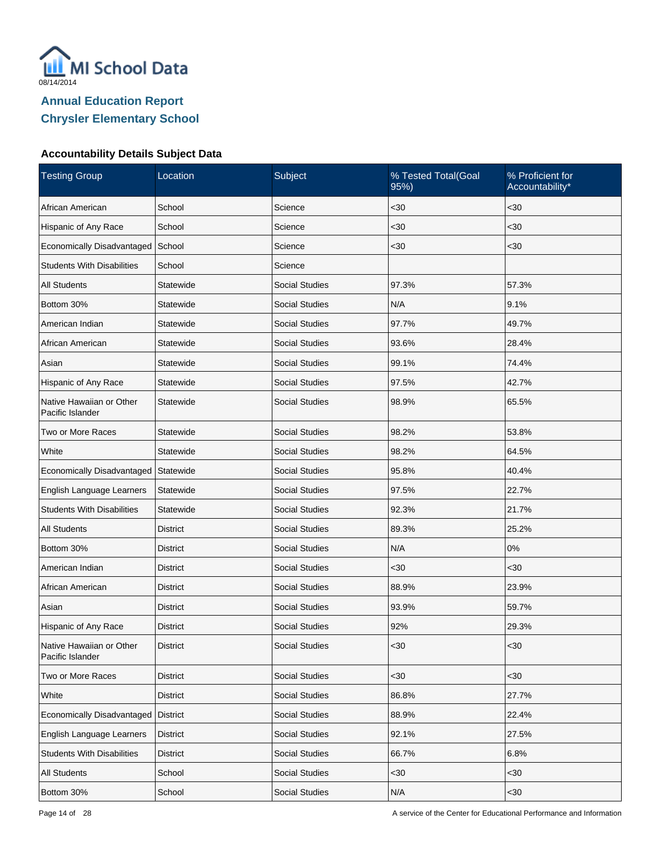

| <b>Testing Group</b>                         | Location        | Subject               | % Tested Total(Goal<br>95%) | % Proficient for<br>Accountability* |
|----------------------------------------------|-----------------|-----------------------|-----------------------------|-------------------------------------|
| African American                             | School          | Science               | $30$                        | <30                                 |
| Hispanic of Any Race                         | School          | Science               | $30$                        | $30$                                |
| Economically Disadvantaged                   | School          | Science               | $30$                        | $30$                                |
| <b>Students With Disabilities</b>            | School          | Science               |                             |                                     |
| <b>All Students</b>                          | Statewide       | <b>Social Studies</b> | 97.3%                       | 57.3%                               |
| Bottom 30%                                   | Statewide       | <b>Social Studies</b> | N/A                         | 9.1%                                |
| American Indian                              | Statewide       | <b>Social Studies</b> | 97.7%                       | 49.7%                               |
| African American                             | Statewide       | <b>Social Studies</b> | 93.6%                       | 28.4%                               |
| Asian                                        | Statewide       | <b>Social Studies</b> | 99.1%                       | 74.4%                               |
| Hispanic of Any Race                         | Statewide       | <b>Social Studies</b> | 97.5%                       | 42.7%                               |
| Native Hawaiian or Other<br>Pacific Islander | Statewide       | <b>Social Studies</b> | 98.9%                       | 65.5%                               |
| Two or More Races                            | Statewide       | <b>Social Studies</b> | 98.2%                       | 53.8%                               |
| White                                        | Statewide       | <b>Social Studies</b> | 98.2%                       | 64.5%                               |
| Economically Disadvantaged                   | Statewide       | <b>Social Studies</b> | 95.8%                       | 40.4%                               |
| English Language Learners                    | Statewide       | <b>Social Studies</b> | 97.5%                       | 22.7%                               |
| <b>Students With Disabilities</b>            | Statewide       | <b>Social Studies</b> | 92.3%                       | 21.7%                               |
| <b>All Students</b>                          | <b>District</b> | <b>Social Studies</b> | 89.3%                       | 25.2%                               |
| Bottom 30%                                   | District        | <b>Social Studies</b> | N/A                         | 0%                                  |
| American Indian                              | <b>District</b> | <b>Social Studies</b> | $30$                        | <30                                 |
| African American                             | District        | <b>Social Studies</b> | 88.9%                       | 23.9%                               |
| Asian                                        | <b>District</b> | <b>Social Studies</b> | 93.9%                       | 59.7%                               |
| Hispanic of Any Race                         | District        | <b>Social Studies</b> | 92%                         | 29.3%                               |
| Native Hawaiian or Other<br>Pacific Islander | <b>District</b> | <b>Social Studies</b> | <30                         | $30$                                |
| Two or More Races                            | <b>District</b> | Social Studies        | $30$                        | <30                                 |
| White                                        | <b>District</b> | Social Studies        | 86.8%                       | 27.7%                               |
| Economically Disadvantaged                   | <b>District</b> | Social Studies        | 88.9%                       | 22.4%                               |
| English Language Learners                    | <b>District</b> | <b>Social Studies</b> | 92.1%                       | 27.5%                               |
| <b>Students With Disabilities</b>            | <b>District</b> | <b>Social Studies</b> | 66.7%                       | 6.8%                                |
| All Students                                 | School          | Social Studies        | $30$                        | $30$                                |
| Bottom 30%                                   | School          | Social Studies        | N/A                         | <30                                 |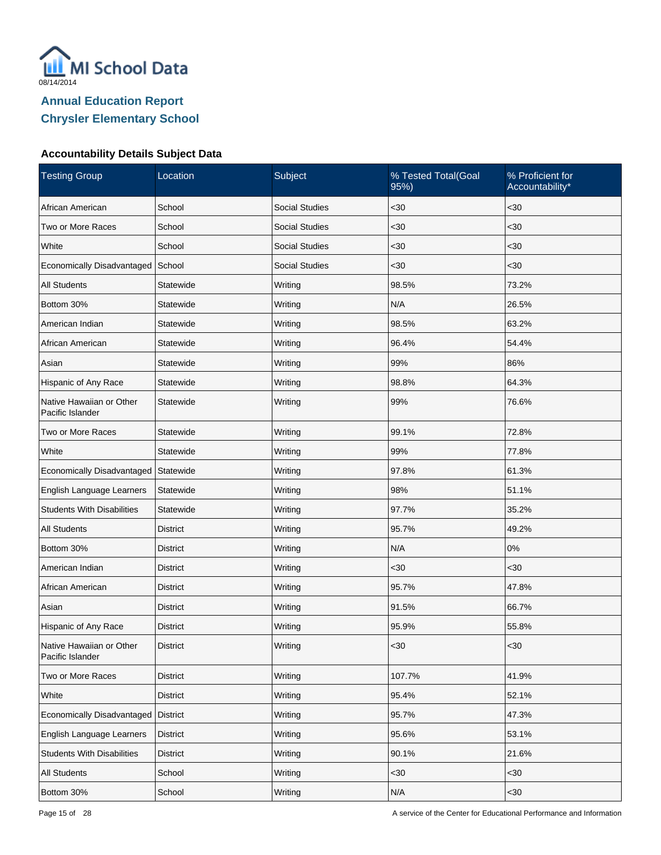

| <b>Testing Group</b>                         | Location        | Subject               | % Tested Total(Goal<br>95%) | % Proficient for<br>Accountability* |
|----------------------------------------------|-----------------|-----------------------|-----------------------------|-------------------------------------|
| African American                             | School          | <b>Social Studies</b> | $30$                        | $30$                                |
| Two or More Races                            | School          | <b>Social Studies</b> | $30$                        | $30$                                |
| White                                        | School          | <b>Social Studies</b> | $30$                        | <30                                 |
| Economically Disadvantaged                   | School          | Social Studies        | $30$                        | $30$                                |
| <b>All Students</b>                          | Statewide       | Writing               | 98.5%                       | 73.2%                               |
| Bottom 30%                                   | Statewide       | Writing               | N/A                         | 26.5%                               |
| American Indian                              | Statewide       | Writing               | 98.5%                       | 63.2%                               |
| African American                             | Statewide       | Writing               | 96.4%                       | 54.4%                               |
| Asian                                        | Statewide       | Writing               | 99%                         | 86%                                 |
| Hispanic of Any Race                         | Statewide       | Writing               | 98.8%                       | 64.3%                               |
| Native Hawaiian or Other<br>Pacific Islander | Statewide       | Writing               | 99%                         | 76.6%                               |
| Two or More Races                            | Statewide       | Writing               | 99.1%                       | 72.8%                               |
| White                                        | Statewide       | Writing               | 99%                         | 77.8%                               |
| Economically Disadvantaged                   | Statewide       | Writing               | 97.8%                       | 61.3%                               |
| English Language Learners                    | Statewide       | Writing               | 98%                         | 51.1%                               |
| <b>Students With Disabilities</b>            | Statewide       | Writing               | 97.7%                       | 35.2%                               |
| <b>All Students</b>                          | <b>District</b> | Writing               | 95.7%                       | 49.2%                               |
| Bottom 30%                                   | <b>District</b> | Writing               | N/A                         | 0%                                  |
| American Indian                              | <b>District</b> | Writing               | <30                         | <30                                 |
| African American                             | <b>District</b> | Writing               | 95.7%                       | 47.8%                               |
| Asian                                        | <b>District</b> | Writing               | 91.5%                       | 66.7%                               |
| Hispanic of Any Race                         | District        | Writing               | 95.9%                       | 55.8%                               |
| Native Hawaiian or Other<br>Pacific Islander | <b>District</b> | Writing               | <30                         | $30$                                |
| Two or More Races                            | <b>District</b> | Writing               | 107.7%                      | 41.9%                               |
| White                                        | <b>District</b> | Writing               | 95.4%                       | 52.1%                               |
| Economically Disadvantaged                   | <b>District</b> | Writing               | 95.7%                       | 47.3%                               |
| English Language Learners                    | <b>District</b> | Writing               | 95.6%                       | 53.1%                               |
| <b>Students With Disabilities</b>            | <b>District</b> | Writing               | 90.1%                       | 21.6%                               |
| All Students                                 | School          | Writing               | $30$                        | $30$                                |
| Bottom 30%                                   | School          | Writing               | N/A                         | <30                                 |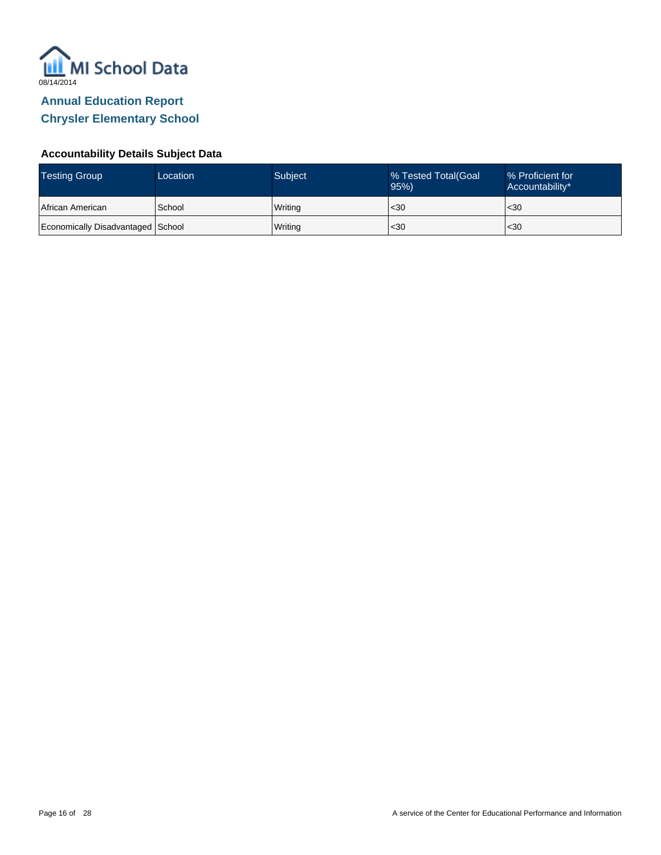

| <b>Testing Group</b>              | Location | <b>Subject</b> | % Tested Total(Goal<br>95% | ■% Proficient for<br>Accountability* |
|-----------------------------------|----------|----------------|----------------------------|--------------------------------------|
| African American                  | School   | Writing        | $30$                       | $30$                                 |
| Economically Disadvantaged School |          | Writing        | $30$                       | $30$                                 |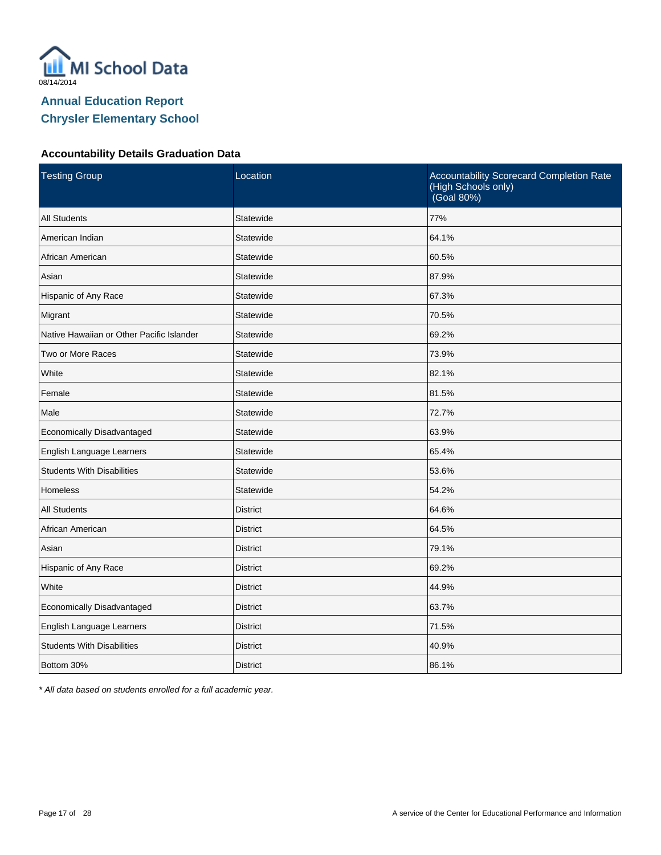

#### **Accountability Details Graduation Data**

| <b>Testing Group</b>                      | Location        | Accountability Scorecard Completion Rate<br>(High Schools only)<br>(Goal 80%) |
|-------------------------------------------|-----------------|-------------------------------------------------------------------------------|
| <b>All Students</b>                       | Statewide       | 77%                                                                           |
| American Indian                           | Statewide       | 64.1%                                                                         |
| African American                          | Statewide       | 60.5%                                                                         |
| Asian                                     | Statewide       | 87.9%                                                                         |
| Hispanic of Any Race                      | Statewide       | 67.3%                                                                         |
| Migrant                                   | Statewide       | 70.5%                                                                         |
| Native Hawaiian or Other Pacific Islander | Statewide       | 69.2%                                                                         |
| Two or More Races                         | Statewide       | 73.9%                                                                         |
| White                                     | Statewide       | 82.1%                                                                         |
| Female                                    | Statewide       | 81.5%                                                                         |
| Male                                      | Statewide       | 72.7%                                                                         |
| Economically Disadvantaged                | Statewide       | 63.9%                                                                         |
| English Language Learners                 | Statewide       | 65.4%                                                                         |
| <b>Students With Disabilities</b>         | Statewide       | 53.6%                                                                         |
| <b>Homeless</b>                           | Statewide       | 54.2%                                                                         |
| <b>All Students</b>                       | <b>District</b> | 64.6%                                                                         |
| African American                          | <b>District</b> | 64.5%                                                                         |
| Asian                                     | <b>District</b> | 79.1%                                                                         |
| Hispanic of Any Race                      | <b>District</b> | 69.2%                                                                         |
| White                                     | <b>District</b> | 44.9%                                                                         |
| Economically Disadvantaged                | <b>District</b> | 63.7%                                                                         |
| English Language Learners                 | <b>District</b> | 71.5%                                                                         |
| <b>Students With Disabilities</b>         | <b>District</b> | 40.9%                                                                         |
| Bottom 30%                                | <b>District</b> | 86.1%                                                                         |

\* All data based on students enrolled for a full academic year.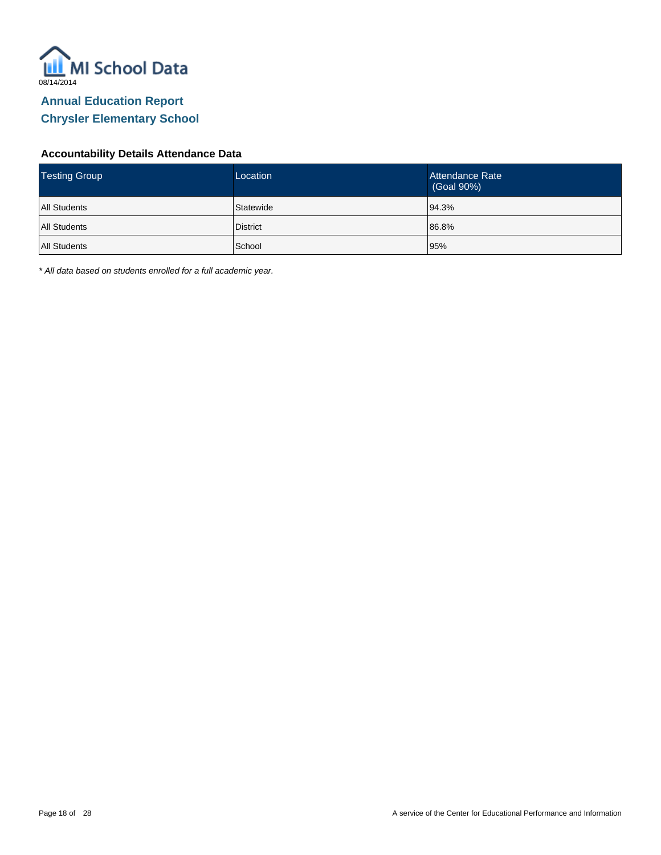

#### **Accountability Details Attendance Data**

| <b>Testing Group</b> | Location        | Attendance Rate<br>(Goal 90%) |
|----------------------|-----------------|-------------------------------|
| <b>All Students</b>  | Statewide       | 94.3%                         |
| All Students         | <b>District</b> | 86.8%                         |
| All Students         | School          | 95%                           |

\* All data based on students enrolled for a full academic year.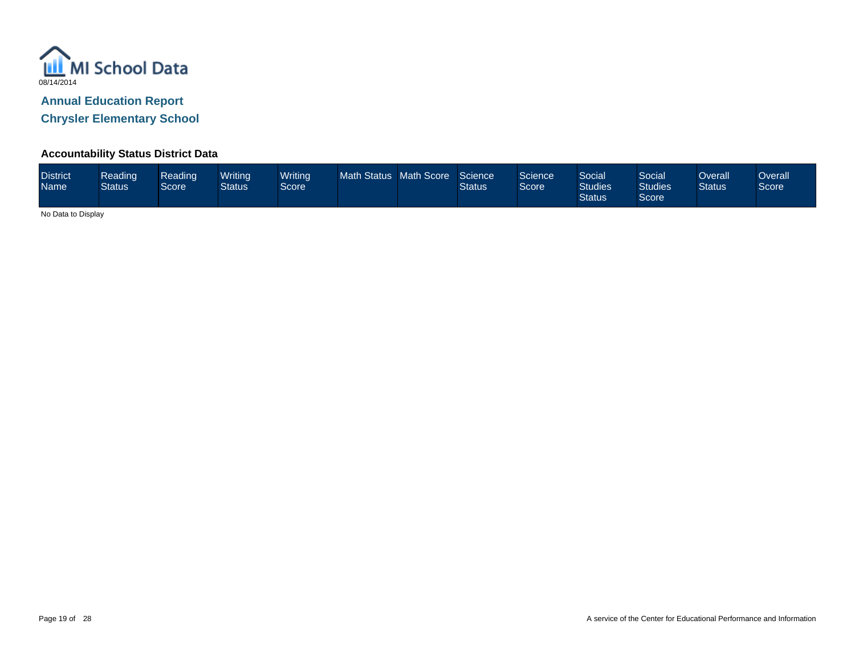

**Chrysler Elementary School**

#### **Accountability Status District Data**

| <b>District</b><br><b>Name</b> | Reading<br><b>Status</b> | Reading<br>Score | Writinal<br><b>Status</b> | <b>Writing</b><br>Score <sup>'</sup> | Math Status Math Score |  | Science<br><b>Status</b> | Science<br>Score | Social<br><b>Studies</b><br><b>Status</b> | Social<br><b>Studies</b><br>Score | Overall<br><b>Status</b> | Overall<br>Score |
|--------------------------------|--------------------------|------------------|---------------------------|--------------------------------------|------------------------|--|--------------------------|------------------|-------------------------------------------|-----------------------------------|--------------------------|------------------|
|--------------------------------|--------------------------|------------------|---------------------------|--------------------------------------|------------------------|--|--------------------------|------------------|-------------------------------------------|-----------------------------------|--------------------------|------------------|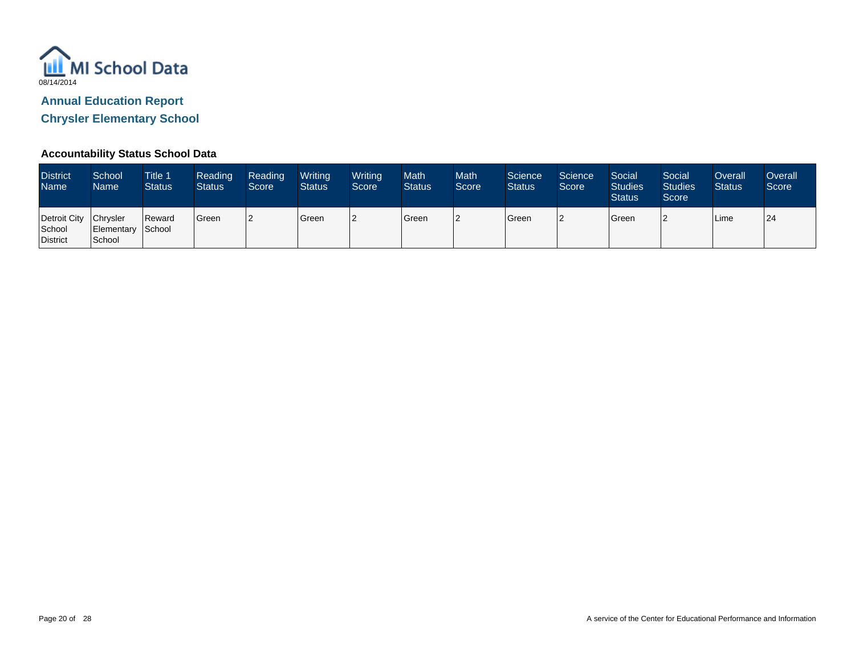

**Chrysler Elementary School**

#### **Accountability Status School Data**

| <b>District</b><br><b>Name</b>              | School<br><b>Name</b>       | <b>Title 1</b><br><b>Status</b> | Reading<br><b>Status</b> | Reading<br>Score | Writing<br><b>Status</b> | Writing<br>Score <sup>1</sup> | <b>Math</b><br><b>Status</b> | <b>Math</b><br>Score | Science<br><b>Status</b> | Science<br>Score | Social<br><b>Studies</b><br><b>Status</b> | Social<br><b>Studies</b><br>Score <sup>1</sup> | Overall<br><b>Status</b> | Overall<br>Score |
|---------------------------------------------|-----------------------------|---------------------------------|--------------------------|------------------|--------------------------|-------------------------------|------------------------------|----------------------|--------------------------|------------------|-------------------------------------------|------------------------------------------------|--------------------------|------------------|
| Detroit City Chrysler<br>School<br>District | Elementary School<br>School | Reward                          | <sup>I</sup> Green       |                  | Green                    |                               | Green                        | 2                    | Green                    |                  | Green                                     |                                                | Lime                     | 24               |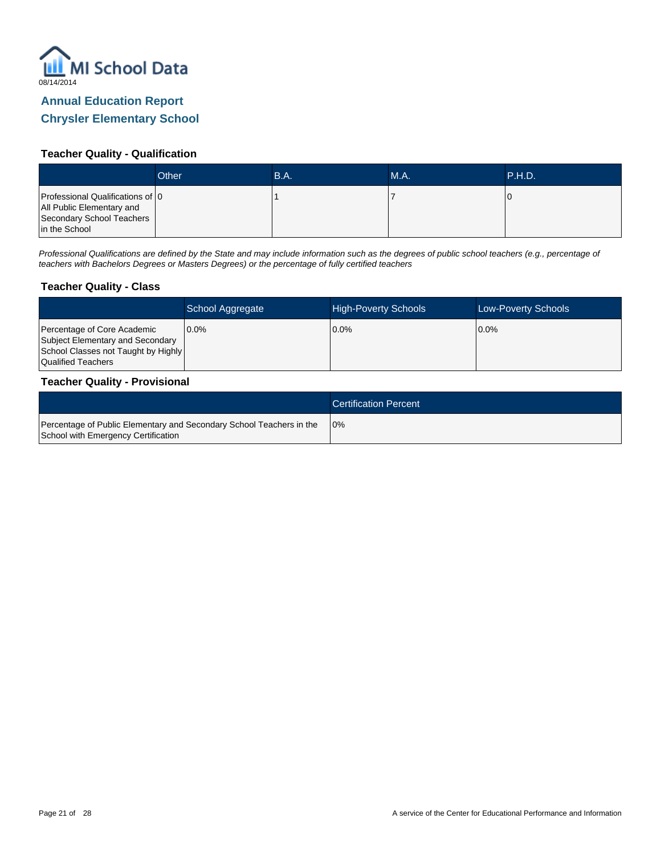

#### **Teacher Quality - Qualification**

|                                                                                                             | Other | B.A. | <b>M.A.</b> | .P.H.D.' |
|-------------------------------------------------------------------------------------------------------------|-------|------|-------------|----------|
| Professional Qualifications of 0<br>All Public Elementary and<br>Secondary School Teachers<br>in the School |       |      |             |          |

Professional Qualifications are defined by the State and may include information such as the degrees of public school teachers (e.g., percentage of teachers with Bachelors Degrees or Masters Degrees) or the percentage of fully certified teachers

#### **Teacher Quality - Class**

|                                                                                                                              | School Aggregate | <b>High-Poverty Schools</b> | <b>Low-Poverty Schools</b> |
|------------------------------------------------------------------------------------------------------------------------------|------------------|-----------------------------|----------------------------|
| Percentage of Core Academic<br>Subject Elementary and Secondary<br>School Classes not Taught by Highly<br>Qualified Teachers | 10.0%            | 0.0%                        | $0.0\%$                    |

#### **Teacher Quality - Provisional**

|                                                                                                             | <b>Certification Percent</b> |
|-------------------------------------------------------------------------------------------------------------|------------------------------|
| Percentage of Public Elementary and Secondary School Teachers in the<br>School with Emergency Certification | 10%                          |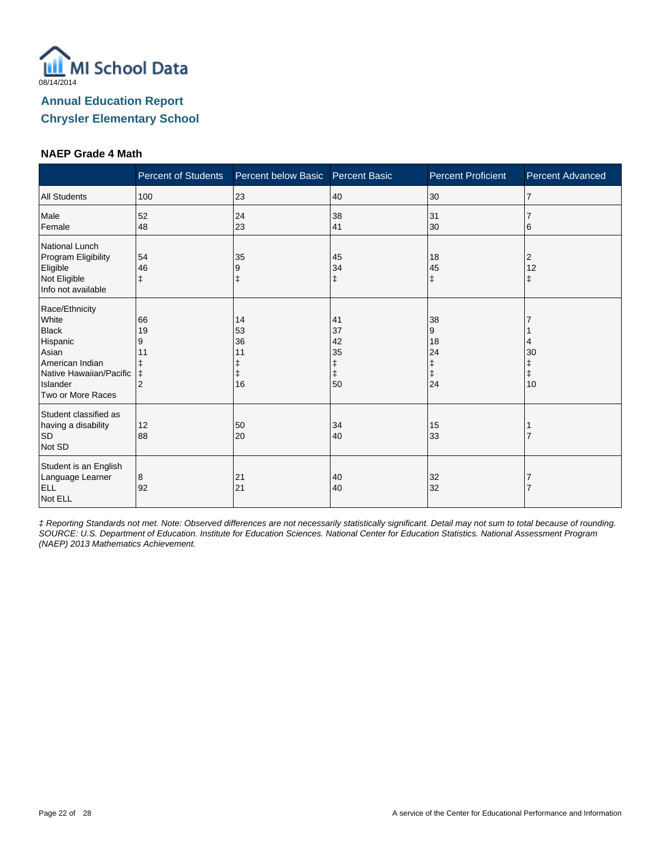

#### **NAEP Grade 4 Math**

|                                                                                                                                             | <b>Percent of Students</b>                               | Percent below Basic        | <b>Percent Basic</b>                          | <b>Percent Proficient</b>                    | <b>Percent Advanced</b>     |
|---------------------------------------------------------------------------------------------------------------------------------------------|----------------------------------------------------------|----------------------------|-----------------------------------------------|----------------------------------------------|-----------------------------|
| <b>All Students</b>                                                                                                                         | 100                                                      | 23                         | 40                                            | 30                                           | $\overline{7}$              |
| Male<br>Female                                                                                                                              | 52<br>48                                                 | 24<br>23                   | 38<br>41                                      | 31<br>30                                     | 6                           |
| National Lunch<br>Program Eligibility<br>Eligible<br>Not Eligible<br>Info not available                                                     | 54<br>46<br>$\ddagger$                                   | 35<br>9<br>ŧ               | 45<br>34<br>ŧ                                 | 18<br>45<br>$\ddagger$                       | 2<br>12<br>ŧ                |
| Race/Ethnicity<br>White<br><b>Black</b><br>Hispanic<br>Asian<br>American Indian<br>Native Hawaiian/Pacific<br>Islander<br>Two or More Races | 66<br>19<br>9<br>11<br>ŧ<br>$\ddagger$<br>$\overline{2}$ | 14<br>53<br>36<br>11<br>16 | 41<br>37<br>42<br>35<br>ŧ<br>$\ddagger$<br>50 | 38<br>9<br>18<br>24<br>ŧ<br>$\ddagger$<br>24 | 30<br>ŧ<br>$\ddagger$<br>10 |
| Student classified as<br>having a disability<br><b>SD</b><br>Not SD                                                                         | 12<br>88                                                 | 50<br>20                   | 34<br>40                                      | 15<br>33                                     |                             |
| Student is an English<br>Language Learner<br>ELL<br>Not ELL                                                                                 | 8<br>92                                                  | 21<br>21                   | 40<br>40                                      | 32<br>32                                     |                             |

‡ Reporting Standards not met. Note: Observed differences are not necessarily statistically significant. Detail may not sum to total because of rounding. SOURCE: U.S. Department of Education. Institute for Education Sciences. National Center for Education Statistics. National Assessment Program (NAEP) 2013 Mathematics Achievement.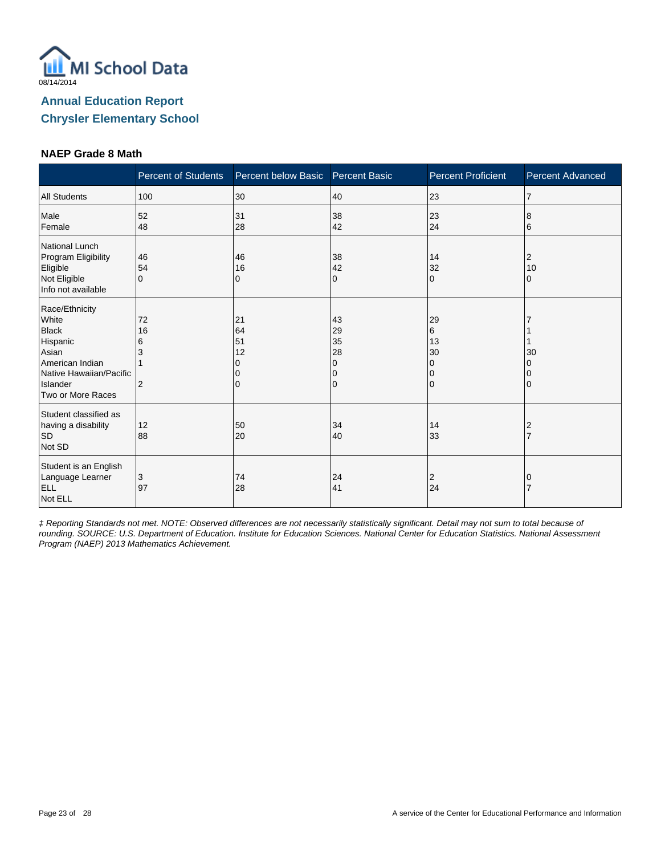

#### **NAEP Grade 8 Math**

|                                                                                                                                             | <b>Percent of Students</b>           | Percent below Basic            | <b>Percent Basic</b>                | <b>Percent Proficient</b>                    | <b>Percent Advanced</b> |
|---------------------------------------------------------------------------------------------------------------------------------------------|--------------------------------------|--------------------------------|-------------------------------------|----------------------------------------------|-------------------------|
| <b>All Students</b>                                                                                                                         | 100                                  | 30                             | 40                                  | 23                                           | $\overline{7}$          |
| Male<br>Female                                                                                                                              | 52<br>48                             | 31<br>28                       | 38<br>42                            | 23<br>24                                     | 8<br>6                  |
| National Lunch<br>Program Eligibility<br>Eligible<br>Not Eligible<br>Info not available                                                     | 46<br>54<br>$\Omega$                 | 46<br>16<br>0                  | 38<br>42<br>0                       | 14<br>32<br>$\Omega$                         | 2<br>10<br>0            |
| Race/Ethnicity<br>White<br><b>Black</b><br>Hispanic<br>Asian<br>American Indian<br>Native Hawaiian/Pacific<br>Islander<br>Two or More Races | 72<br>16<br>6<br>3<br>$\overline{2}$ | 21<br>64<br>51<br>12<br>O<br>0 | 43<br>29<br>35<br>28<br>0<br>0<br>0 | 29<br>6<br>13<br>30<br>0<br>0<br>$\mathbf 0$ | 30                      |
| Student classified as<br>having a disability<br><b>SD</b><br>Not SD                                                                         | 12<br>88                             | 50<br>20                       | 34<br>40                            | 14<br>33                                     | 2<br>$\overline{7}$     |
| Student is an English<br>Language Learner<br><b>ELL</b><br>Not ELL                                                                          | 3<br>97                              | 74<br>28                       | 24<br>41                            | $\overline{2}$<br>24                         | 0                       |

‡ Reporting Standards not met. NOTE: Observed differences are not necessarily statistically significant. Detail may not sum to total because of rounding. SOURCE: U.S. Department of Education. Institute for Education Sciences. National Center for Education Statistics. National Assessment Program (NAEP) 2013 Mathematics Achievement.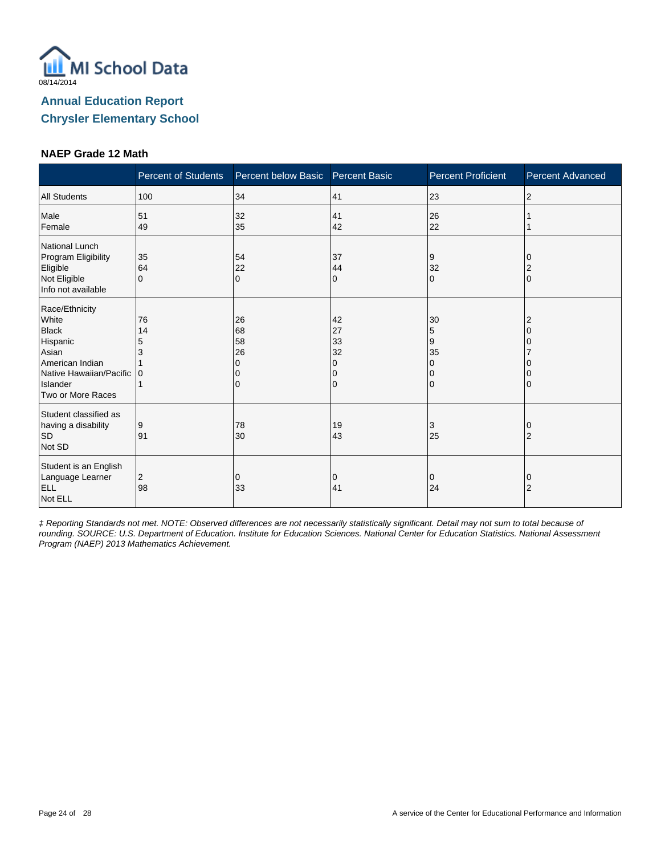

#### **NAEP Grade 12 Math**

|                                                                                                                                             | <b>Percent of Students</b> | Percent below Basic            | <b>Percent Basic</b>                | <b>Percent Proficient</b>                    | <b>Percent Advanced</b> |
|---------------------------------------------------------------------------------------------------------------------------------------------|----------------------------|--------------------------------|-------------------------------------|----------------------------------------------|-------------------------|
| <b>All Students</b>                                                                                                                         | 100                        | 34                             | 41                                  | 23                                           | 2                       |
| Male<br>Female                                                                                                                              | 51<br>49                   | 32<br>35                       | 41<br>42                            | 26<br>22                                     |                         |
| <b>National Lunch</b><br>Program Eligibility<br>Eligible<br>Not Eligible<br>Info not available                                              | 35<br>64<br>$\Omega$       | 54<br>22<br>$\mathbf 0$        | 37<br>44<br>0                       | 9<br>32<br>$\mathbf 0$                       | 2<br>$\Omega$           |
| Race/Ethnicity<br>White<br><b>Black</b><br>Hispanic<br>Asian<br>American Indian<br>Native Hawaiian/Pacific<br>Islander<br>Two or More Races | 76<br>14<br>5<br>ı٥        | 26<br>68<br>58<br>26<br>O<br>0 | 42<br>27<br>33<br>32<br>0<br>0<br>0 | 30<br>5<br>9<br>35<br>0<br>0<br>$\mathbf{0}$ | 2<br>∩                  |
| Student classified as<br>having a disability<br><b>SD</b><br>Not SD                                                                         | 9<br>91                    | 78<br>30                       | 19<br>43                            | 3<br>25                                      | 0<br>$\overline{2}$     |
| Student is an English<br>Language Learner<br><b>ELL</b><br>Not ELL                                                                          | 2<br>98                    | 0<br>33                        | 0<br>41                             | $\mathbf 0$<br>24                            | 0<br>$\overline{2}$     |

‡ Reporting Standards not met. NOTE: Observed differences are not necessarily statistically significant. Detail may not sum to total because of rounding. SOURCE: U.S. Department of Education. Institute for Education Sciences. National Center for Education Statistics. National Assessment Program (NAEP) 2013 Mathematics Achievement.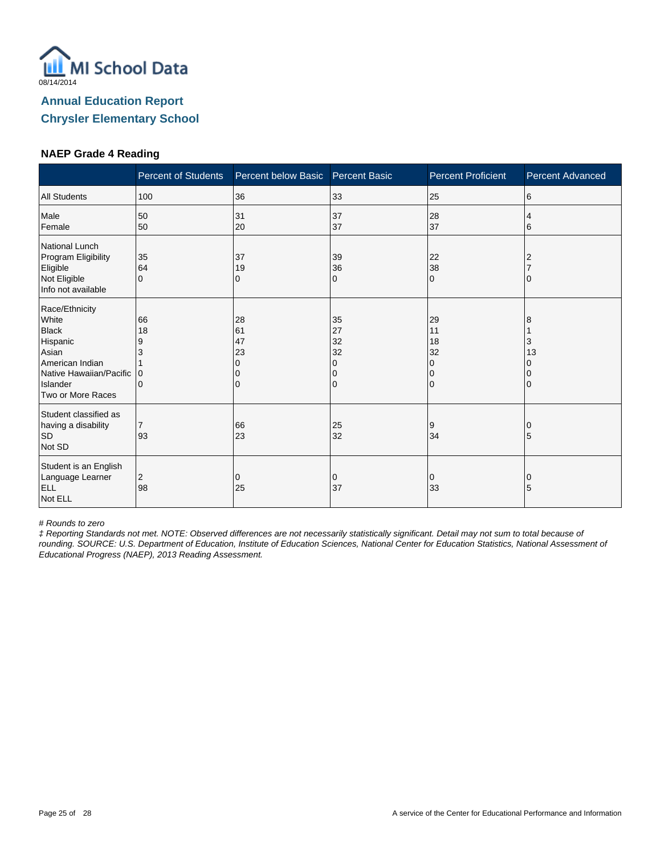

#### **NAEP Grade 4 Reading**

|                                                                                                                                             | <b>Percent of Students</b>          | Percent below Basic            | <b>Percent Basic</b>                | <b>Percent Proficient</b>                                   | <b>Percent Advanced</b> |
|---------------------------------------------------------------------------------------------------------------------------------------------|-------------------------------------|--------------------------------|-------------------------------------|-------------------------------------------------------------|-------------------------|
| <b>All Students</b>                                                                                                                         | 100                                 | 36                             | 33                                  | 25                                                          | 6                       |
| Male<br>Female                                                                                                                              | 50<br>50                            | 31<br>20                       | 37<br>37                            | 28<br>37                                                    | 4<br>6                  |
| National Lunch<br>Program Eligibility<br>Eligible<br>Not Eligible<br>Info not available                                                     | 35<br>64<br>$\Omega$                | 37<br>19<br>0                  | 39<br>36<br>0                       | 22<br>38<br>$\mathbf 0$                                     |                         |
| Race/Ethnicity<br>White<br><b>Black</b><br>Hispanic<br>Asian<br>American Indian<br>Native Hawaiian/Pacific<br>Islander<br>Two or More Races | 66<br>18<br>9<br>3<br>$\Omega$<br>0 | 28<br>61<br>47<br>23<br>O<br>0 | 35<br>27<br>32<br>32<br>0<br>0<br>0 | 29<br>11<br>18<br>32<br>$\Omega$<br>$\Omega$<br>$\mathbf 0$ | 8<br>3<br>13            |
| Student classified as<br>having a disability<br><b>SD</b><br>Not SD                                                                         | $\overline{7}$<br>93                | 66<br>23                       | 25<br>32                            | 9<br>34                                                     | O<br>5                  |
| Student is an English<br>Language Learner<br><b>ELL</b><br>Not ELL                                                                          | 2<br>98                             | 0<br>25                        | 0<br>37                             | 0<br>33                                                     | 0<br>5                  |

# Rounds to zero

‡ Reporting Standards not met. NOTE: Observed differences are not necessarily statistically significant. Detail may not sum to total because of rounding. SOURCE: U.S. Department of Education, Institute of Education Sciences, National Center for Education Statistics, National Assessment of Educational Progress (NAEP), 2013 Reading Assessment.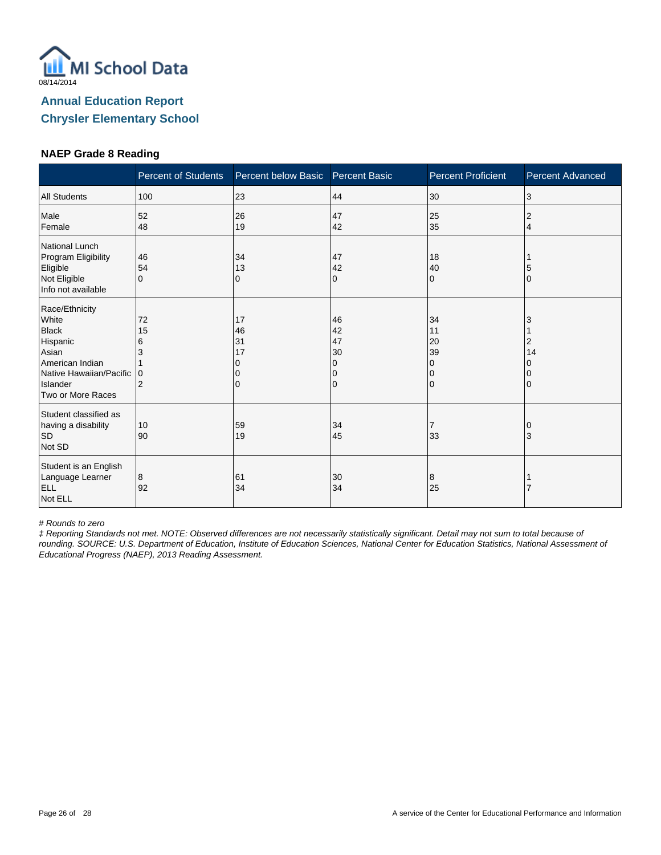

#### **NAEP Grade 8 Reading**

|                                                                                                                                             | <b>Percent of Students</b>          | Percent below Basic       | <b>Percent Basic</b>                | <b>Percent Proficient</b>                                   | <b>Percent Advanced</b> |
|---------------------------------------------------------------------------------------------------------------------------------------------|-------------------------------------|---------------------------|-------------------------------------|-------------------------------------------------------------|-------------------------|
| <b>All Students</b>                                                                                                                         | 100                                 | 23                        | 44                                  | 30                                                          | 3                       |
| Male<br>Female                                                                                                                              | 52<br>48                            | 26<br>19                  | 47<br>42                            | 25<br>35                                                    | 2<br>4                  |
| National Lunch<br>Program Eligibility<br>Eligible<br>Not Eligible<br>Info not available                                                     | 46<br>54<br>$\Omega$                | 34<br>13<br>0             | 47<br>42<br>0                       | 18<br>40<br>$\Omega$                                        | O                       |
| Race/Ethnicity<br>White<br><b>Black</b><br>Hispanic<br>Asian<br>American Indian<br>Native Hawaiian/Pacific<br>Islander<br>Two or More Races | 72<br>15<br>6<br>3<br>$\Omega$<br>2 | 17<br>46<br>31<br>17<br>0 | 46<br>42<br>47<br>30<br>0<br>0<br>0 | 34<br>11<br>20<br>39<br>$\Omega$<br>$\Omega$<br>$\mathbf 0$ | 2<br>14                 |
| Student classified as<br>having a disability<br><b>SD</b><br>Not SD                                                                         | 10<br>90                            | 59<br>19                  | 34<br>45                            | 7<br>33                                                     | 3                       |
| Student is an English<br>Language Learner<br><b>ELL</b><br>Not ELL                                                                          | 8<br>92                             | 61<br>34                  | 30<br>34                            | 8<br>25                                                     |                         |

# Rounds to zero

‡ Reporting Standards not met. NOTE: Observed differences are not necessarily statistically significant. Detail may not sum to total because of rounding. SOURCE: U.S. Department of Education, Institute of Education Sciences, National Center for Education Statistics, National Assessment of Educational Progress (NAEP), 2013 Reading Assessment.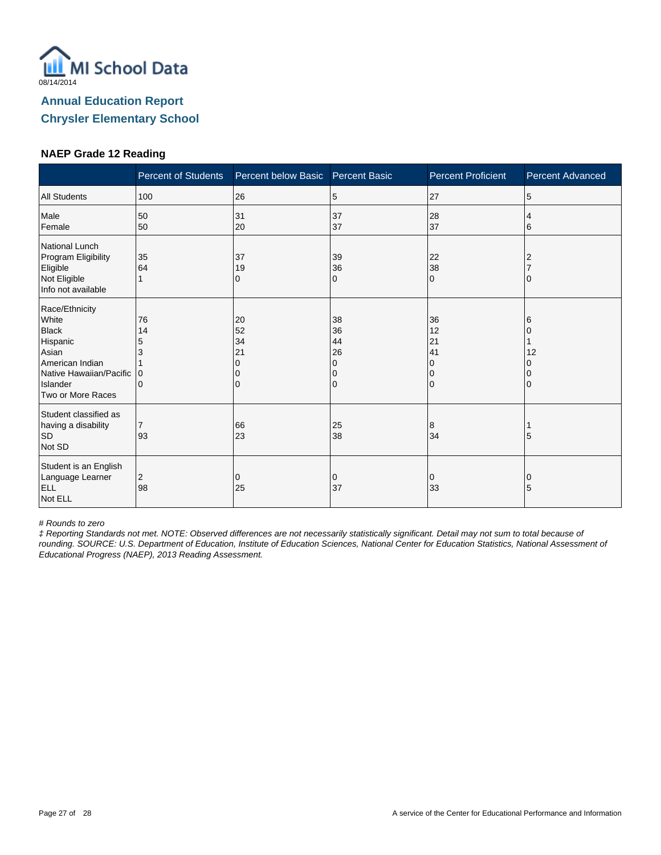

#### **NAEP Grade 12 Reading**

|                                                                                                                                             | <b>Percent of Students</b>                    | Percent below Basic            | <b>Percent Basic</b>                | <b>Percent Proficient</b>                                   | <b>Percent Advanced</b> |
|---------------------------------------------------------------------------------------------------------------------------------------------|-----------------------------------------------|--------------------------------|-------------------------------------|-------------------------------------------------------------|-------------------------|
| <b>All Students</b>                                                                                                                         | 100                                           | 26                             | 5                                   | 27                                                          | 5                       |
| Male<br>Female                                                                                                                              | 50<br>50                                      | 31<br>20                       | 37<br>37                            | 28<br>37                                                    | 4<br>6                  |
| National Lunch<br>Program Eligibility<br>Eligible<br>Not Eligible<br>Info not available                                                     | 35<br>64                                      | 37<br>19<br>0                  | 39<br>36<br>0                       | 22<br>38<br>$\Omega$                                        |                         |
| Race/Ethnicity<br>White<br><b>Black</b><br>Hispanic<br>Asian<br>American Indian<br>Native Hawaiian/Pacific<br>Islander<br>Two or More Races | 76<br>14<br>5<br>3<br>$\Omega$<br>$\mathbf 0$ | 20<br>52<br>34<br>21<br>O<br>0 | 38<br>36<br>44<br>26<br>0<br>0<br>0 | 36<br>12<br>21<br>41<br>$\Omega$<br>$\Omega$<br>$\mathbf 0$ | 6<br>12                 |
| Student classified as<br>having a disability<br><b>SD</b><br>Not SD                                                                         | $\overline{7}$<br>93                          | 66<br>23                       | 25<br>38                            | 8<br>34                                                     | 5                       |
| Student is an English<br>Language Learner<br><b>ELL</b><br>Not ELL                                                                          | 2<br>98                                       | 0<br>25                        | 0<br>37                             | 0<br>33                                                     | 0<br>5                  |

# Rounds to zero

‡ Reporting Standards not met. NOTE: Observed differences are not necessarily statistically significant. Detail may not sum to total because of rounding. SOURCE: U.S. Department of Education, Institute of Education Sciences, National Center for Education Statistics, National Assessment of Educational Progress (NAEP), 2013 Reading Assessment.